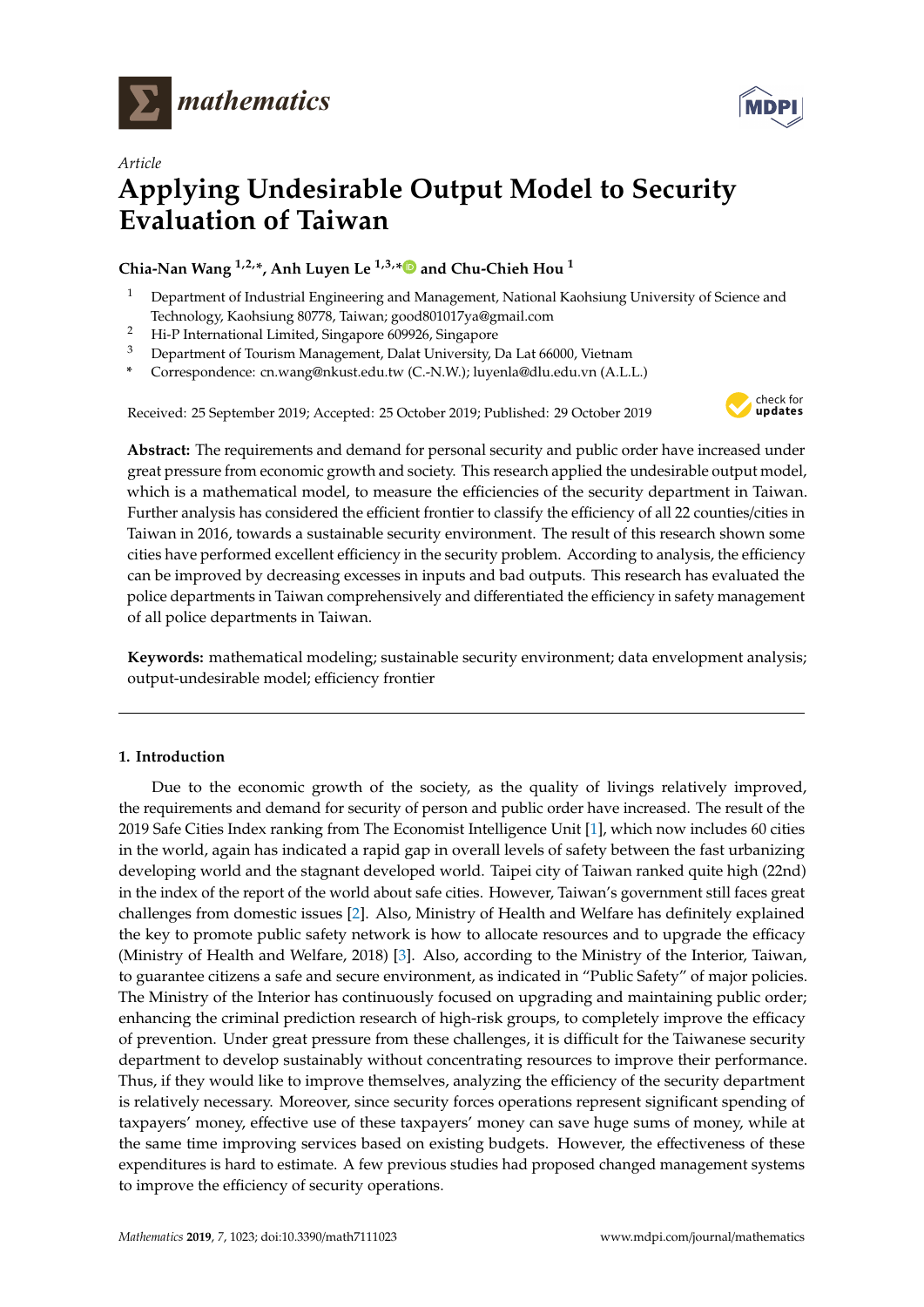



# *Article* **Applying Undesirable Output Model to Security Evaluation of Taiwan**

**Chia-Nan Wang 1,2,\*, Anh Luyen Le 1,3,[\\*](https://orcid.org/0000-0002-1403-6413) and Chu-Chieh Hou <sup>1</sup>**

- <sup>1</sup> Department of Industrial Engineering and Management, National Kaohsiung University of Science and Technology, Kaohsiung 80778, Taiwan; good801017ya@gmail.com
- <sup>2</sup> Hi-P International Limited, Singapore 609926, Singapore
- <sup>3</sup> Department of Tourism Management, Dalat University, Da Lat 66000, Vietnam
- **\*** Correspondence: cn.wang@nkust.edu.tw (C.-N.W.); luyenla@dlu.edu.vn (A.L.L.)

Received: 25 September 2019; Accepted: 25 October 2019; Published: 29 October 2019



**Abstract:** The requirements and demand for personal security and public order have increased under great pressure from economic growth and society. This research applied the undesirable output model, which is a mathematical model, to measure the efficiencies of the security department in Taiwan. Further analysis has considered the efficient frontier to classify the efficiency of all 22 counties/cities in Taiwan in 2016, towards a sustainable security environment. The result of this research shown some cities have performed excellent efficiency in the security problem. According to analysis, the efficiency can be improved by decreasing excesses in inputs and bad outputs. This research has evaluated the police departments in Taiwan comprehensively and differentiated the efficiency in safety management of all police departments in Taiwan.

**Keywords:** mathematical modeling; sustainable security environment; data envelopment analysis; output-undesirable model; efficiency frontier

# **1. Introduction**

Due to the economic growth of the society, as the quality of livings relatively improved, the requirements and demand for security of person and public order have increased. The result of the 2019 Safe Cities Index ranking from The Economist Intelligence Unit [\[1\]](#page-13-0), which now includes 60 cities in the world, again has indicated a rapid gap in overall levels of safety between the fast urbanizing developing world and the stagnant developed world. Taipei city of Taiwan ranked quite high (22nd) in the index of the report of the world about safe cities. However, Taiwan's government still faces great challenges from domestic issues [\[2\]](#page-13-1). Also, Ministry of Health and Welfare has definitely explained the key to promote public safety network is how to allocate resources and to upgrade the efficacy (Ministry of Health and Welfare, 2018) [\[3\]](#page-13-2). Also, according to the Ministry of the Interior, Taiwan, to guarantee citizens a safe and secure environment, as indicated in "Public Safety" of major policies. The Ministry of the Interior has continuously focused on upgrading and maintaining public order; enhancing the criminal prediction research of high-risk groups, to completely improve the efficacy of prevention. Under great pressure from these challenges, it is difficult for the Taiwanese security department to develop sustainably without concentrating resources to improve their performance. Thus, if they would like to improve themselves, analyzing the efficiency of the security department is relatively necessary. Moreover, since security forces operations represent significant spending of taxpayers' money, effective use of these taxpayers' money can save huge sums of money, while at the same time improving services based on existing budgets. However, the effectiveness of these expenditures is hard to estimate. A few previous studies had proposed changed management systems to improve the efficiency of security operations.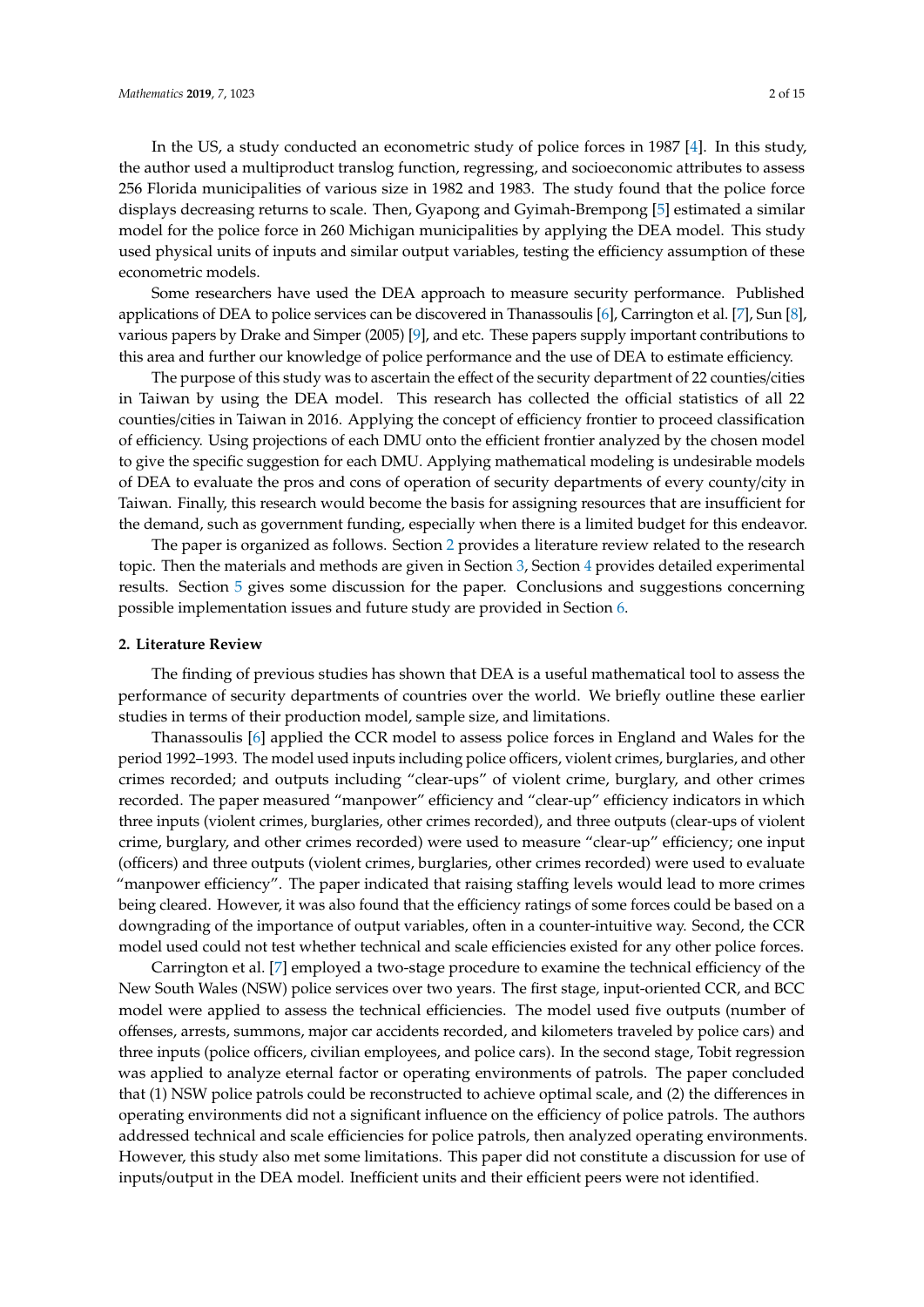In the US, a study conducted an econometric study of police forces in 1987 [\[4\]](#page-13-3). In this study, the author used a multiproduct translog function, regressing, and socioeconomic attributes to assess 256 Florida municipalities of various size in 1982 and 1983. The study found that the police force displays decreasing returns to scale. Then, Gyapong and Gyimah-Brempong [\[5\]](#page-13-4) estimated a similar model for the police force in 260 Michigan municipalities by applying the DEA model. This study used physical units of inputs and similar output variables, testing the efficiency assumption of these econometric models.

Some researchers have used the DEA approach to measure security performance. Published applications of DEA to police services can be discovered in Thanassoulis [\[6\]](#page-13-5), Carrington et al. [\[7\]](#page-13-6), Sun [\[8\]](#page-13-7), various papers by Drake and Simper (2005) [\[9\]](#page-13-8), and etc. These papers supply important contributions to this area and further our knowledge of police performance and the use of DEA to estimate efficiency.

The purpose of this study was to ascertain the effect of the security department of 22 counties/cities in Taiwan by using the DEA model. This research has collected the official statistics of all 22 counties/cities in Taiwan in 2016. Applying the concept of efficiency frontier to proceed classification of efficiency. Using projections of each DMU onto the efficient frontier analyzed by the chosen model to give the specific suggestion for each DMU. Applying mathematical modeling is undesirable models of DEA to evaluate the pros and cons of operation of security departments of every county/city in Taiwan. Finally, this research would become the basis for assigning resources that are insufficient for the demand, such as government funding, especially when there is a limited budget for this endeavor.

The paper is organized as follows. Section [2](#page-1-0) provides a literature review related to the research topic. Then the materials and methods are given in Section [3,](#page-2-0) Section [4](#page-6-0) provides detailed experimental results. Section [5](#page-11-0) gives some discussion for the paper. Conclusions and suggestions concerning possible implementation issues and future study are provided in Section [6.](#page-12-0)

#### <span id="page-1-0"></span>**2. Literature Review**

The finding of previous studies has shown that DEA is a useful mathematical tool to assess the performance of security departments of countries over the world. We briefly outline these earlier studies in terms of their production model, sample size, and limitations.

Thanassoulis [\[6\]](#page-13-5) applied the CCR model to assess police forces in England and Wales for the period 1992–1993. The model used inputs including police officers, violent crimes, burglaries, and other crimes recorded; and outputs including "clear-ups" of violent crime, burglary, and other crimes recorded. The paper measured "manpower" efficiency and "clear-up" efficiency indicators in which three inputs (violent crimes, burglaries, other crimes recorded), and three outputs (clear-ups of violent crime, burglary, and other crimes recorded) were used to measure "clear-up" efficiency; one input (officers) and three outputs (violent crimes, burglaries, other crimes recorded) were used to evaluate "manpower efficiency". The paper indicated that raising staffing levels would lead to more crimes being cleared. However, it was also found that the efficiency ratings of some forces could be based on a downgrading of the importance of output variables, often in a counter-intuitive way. Second, the CCR model used could not test whether technical and scale efficiencies existed for any other police forces.

Carrington et al. [\[7\]](#page-13-6) employed a two-stage procedure to examine the technical efficiency of the New South Wales (NSW) police services over two years. The first stage, input-oriented CCR, and BCC model were applied to assess the technical efficiencies. The model used five outputs (number of offenses, arrests, summons, major car accidents recorded, and kilometers traveled by police cars) and three inputs (police officers, civilian employees, and police cars). In the second stage, Tobit regression was applied to analyze eternal factor or operating environments of patrols. The paper concluded that (1) NSW police patrols could be reconstructed to achieve optimal scale, and (2) the differences in operating environments did not a significant influence on the efficiency of police patrols. The authors addressed technical and scale efficiencies for police patrols, then analyzed operating environments. However, this study also met some limitations. This paper did not constitute a discussion for use of inputs/output in the DEA model. Inefficient units and their efficient peers were not identified.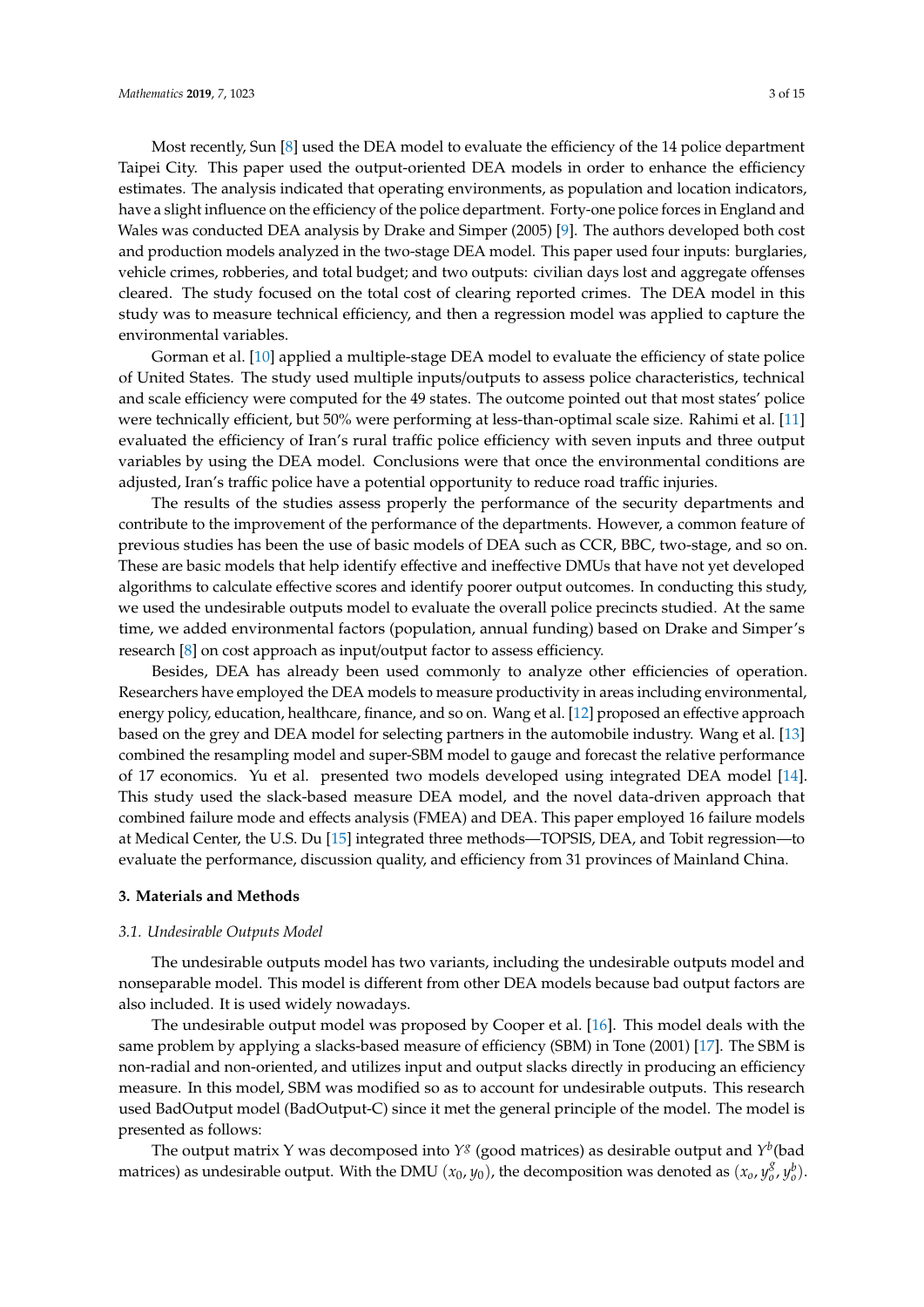Most recently, Sun [\[8\]](#page-13-7) used the DEA model to evaluate the efficiency of the 14 police department Taipei City. This paper used the output-oriented DEA models in order to enhance the efficiency estimates. The analysis indicated that operating environments, as population and location indicators, have a slight influence on the efficiency of the police department. Forty-one police forces in England and Wales was conducted DEA analysis by Drake and Simper (2005) [\[9\]](#page-13-8). The authors developed both cost and production models analyzed in the two-stage DEA model. This paper used four inputs: burglaries, vehicle crimes, robberies, and total budget; and two outputs: civilian days lost and aggregate offenses cleared. The study focused on the total cost of clearing reported crimes. The DEA model in this study was to measure technical efficiency, and then a regression model was applied to capture the environmental variables.

Gorman et al. [\[10\]](#page-13-9) applied a multiple-stage DEA model to evaluate the efficiency of state police of United States. The study used multiple inputs/outputs to assess police characteristics, technical and scale efficiency were computed for the 49 states. The outcome pointed out that most states' police were technically efficient, but 50% were performing at less-than-optimal scale size. Rahimi et al. [\[11\]](#page-13-10) evaluated the efficiency of Iran's rural traffic police efficiency with seven inputs and three output variables by using the DEA model. Conclusions were that once the environmental conditions are adjusted, Iran's traffic police have a potential opportunity to reduce road traffic injuries.

The results of the studies assess properly the performance of the security departments and contribute to the improvement of the performance of the departments. However, a common feature of previous studies has been the use of basic models of DEA such as CCR, BBC, two-stage, and so on. These are basic models that help identify effective and ineffective DMUs that have not yet developed algorithms to calculate effective scores and identify poorer output outcomes. In conducting this study, we used the undesirable outputs model to evaluate the overall police precincts studied. At the same time, we added environmental factors (population, annual funding) based on Drake and Simper's research [\[8\]](#page-13-7) on cost approach as input/output factor to assess efficiency.

Besides, DEA has already been used commonly to analyze other efficiencies of operation. Researchers have employed the DEA models to measure productivity in areas including environmental, energy policy, education, healthcare, finance, and so on. Wang et al. [\[12\]](#page-13-11) proposed an effective approach based on the grey and DEA model for selecting partners in the automobile industry. Wang et al. [\[13\]](#page-13-12) combined the resampling model and super-SBM model to gauge and forecast the relative performance of 17 economics. Yu et al. presented two models developed using integrated DEA model [\[14\]](#page-13-13). This study used the slack-based measure DEA model, and the novel data-driven approach that combined failure mode and effects analysis (FMEA) and DEA. This paper employed 16 failure models at Medical Center, the U.S. Du [\[15\]](#page-13-14) integrated three methods—TOPSIS, DEA, and Tobit regression—to evaluate the performance, discussion quality, and efficiency from 31 provinces of Mainland China.

#### <span id="page-2-0"></span>**3. Materials and Methods**

#### *3.1. Undesirable Outputs Model*

The undesirable outputs model has two variants, including the undesirable outputs model and nonseparable model. This model is different from other DEA models because bad output factors are also included. It is used widely nowadays.

The undesirable output model was proposed by Cooper et al. [\[16\]](#page-13-15). This model deals with the same problem by applying a slacks-based measure of efficiency (SBM) in Tone (2001) [\[17\]](#page-13-16). The SBM is non-radial and non-oriented, and utilizes input and output slacks directly in producing an efficiency measure. In this model, SBM was modified so as to account for undesirable outputs. This research used BadOutput model (BadOutput-C) since it met the general principle of the model. The model is presented as follows:

The output matrix Y was decomposed into  $Y^g$  (good matrices) as desirable output and  $Y^b$ (bad matrices) as undesirable output. With the DMU  $(x_0, y_0)$ , the decomposition was denoted as  $(x_0, y_0^g)$ *o* , *y b o* ).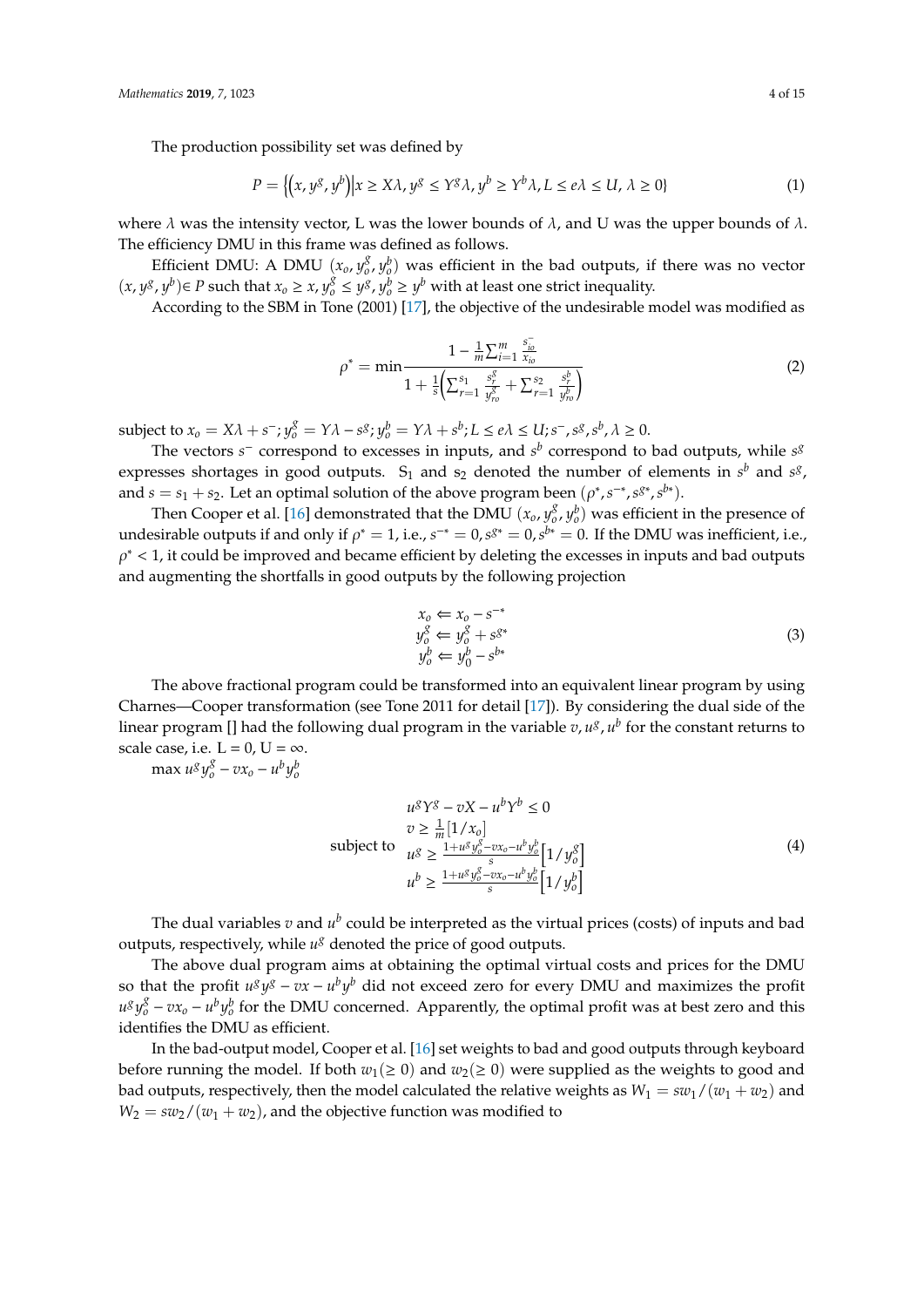The production possibility set was defined by

$$
P = \left\{ \left( x, y^g, y^b \right) \middle| x \ge X\lambda, y^g \le Y^g \lambda, y^b \ge Y^b \lambda, L \le e\lambda \le U, \lambda \ge 0 \right\}
$$
 (1)

where  $\lambda$  was the intensity vector, L was the lower bounds of  $\lambda$ , and U was the upper bounds of  $\lambda$ . The efficiency DMU in this frame was defined as follows.

Efficient DMU: A DMU  $(x_0, y_0^g)$  $\delta$ <sub>*o*</sub>,  $y_o^b$ ) was efficient in the bad outputs, if there was no vector  $(x, y^g, y^b) \in P$  such that  $x_o \ge x, y_o^g \le y^g, y_o^b \ge y^b$  with at least one strict inequality.

According to the SBM in Tone (2001) [\[17\]](#page-13-16), the objective of the undesirable model was modified as

$$
\rho^* = \min \frac{1 - \frac{1}{m} \sum_{i=1}^m \frac{s_{io}^{\bar{z}}}{x_{io}}}{1 + \frac{1}{s} \left( \sum_{r=1}^{s_1} \frac{s_r^{\bar{z}}}{y_{ro}^{\bar{z}}} + \sum_{r=1}^{s_2} \frac{s_r^{\bar{b}}}{y_{ro}^{\bar{b}}} \right)}
$$
(2)

subject to  $x_o = X\lambda + s^-$ ;  $y_o^g = Y\lambda - s^g$ ;  $y_o^b = Y\lambda + s^b$ ;  $L \le e\lambda \le U$ ;  $s^-$ ,  $s^g$ ,  $s^b$ ,  $\lambda \ge 0$ .

The vectors *s*<sup>−</sup> correspond to excesses in inputs, and *s*<sup>b</sup> correspond to bad outputs, while *s*<sup>g</sup> expresses shortages in good outputs.  $S_1$  and  $S_2$  denoted the number of elements in  $s^b$  and  $s^g$ , and  $s = s_1 + s_2$ . Let an optimal solution of the above program been  $(\rho^*, s^{-*}, s^{g*}, s^{b*})$ .

Then Cooper et al. [\[16\]](#page-13-15) demonstrated that the DMU  $(x_o, y^g_o)$  $\delta$ <sub>*o*</sub>,  $y_o^b$ ) was efficient in the presence of undesirable outputs if and only if  $\rho^* = 1$ , i.e.,  $s^{-*} = 0$ ,  $s^{g*} = 0$ ,  $s^{h*} = 0$ . If the DMU was inefficient, i.e.,  $\rho^*$  < 1, it could be improved and became efficient by deleting the excesses in inputs and bad outputs and augmenting the shortfalls in good outputs by the following projection

$$
x_0 \Leftarrow x_0 - s^{-*}
$$
  
\n
$$
y_0^g \Leftarrow y_0^g + s^{g*}
$$
  
\n
$$
y_0^b \Leftarrow y_0^b - s^{b*}
$$
\n(3)

The above fractional program could be transformed into an equivalent linear program by using Charnes—Cooper transformation (see Tone 2011 for detail [\[17\]](#page-13-16)). By considering the dual side of the linear program [] had the following dual program in the variable  $v$ ,  $u^g$  ,  $u^b$  for the constant returns to scale case, i.e.  $L = 0$ ,  $U = \infty$ .

 $\max u^g y_o^g - v x_o - u^b y_o^b$ 

$$
u^{g}Y^{g} - vX - u^{b}Y^{b} \le 0
$$
  
\n
$$
v \ge \frac{1}{m}[1/x_{0}]
$$
  
\nsubject to  
\n
$$
u^{g} \ge \frac{1 + u^{g}y_{0}^{g} - vx_{0} - u^{b}y_{0}^{b}}{g}[1/y_{0}^{g}]
$$
  
\n
$$
u^{b} \ge \frac{1 + u^{g}y_{0}^{g} - vx_{0} - u^{b}y_{0}^{b}}{g}[1/y_{0}^{b}]
$$
\n(4)

The dual variables  $v$  and  $u^b$  could be interpreted as the virtual prices (costs) of inputs and bad outputs, respectively, while  $u^g$  denoted the price of good outputs.

The above dual program aims at obtaining the optimal virtual costs and prices for the DMU so that the profit  $u^g y^g - v x - u^b y^b$  did not exceed zero for every DMU and maximizes the profit  $u^g y^g_0 - v x_o - u^b y^b_o$  for the DMU concerned. Apparently, the optimal profit was at best zero and this identifies the DMU as efficient.

In the bad-output model, Cooper et al. [\[16\]](#page-13-15) set weights to bad and good outputs through keyboard before running the model. If both  $w_1(\geq 0)$  and  $w_2(\geq 0)$  were supplied as the weights to good and bad outputs, respectively, then the model calculated the relative weights as  $W_1 = sw_1/(w_1 + w_2)$  and  $W_2 = \frac{sw_2}{w_1 + w_2}$ , and the objective function was modified to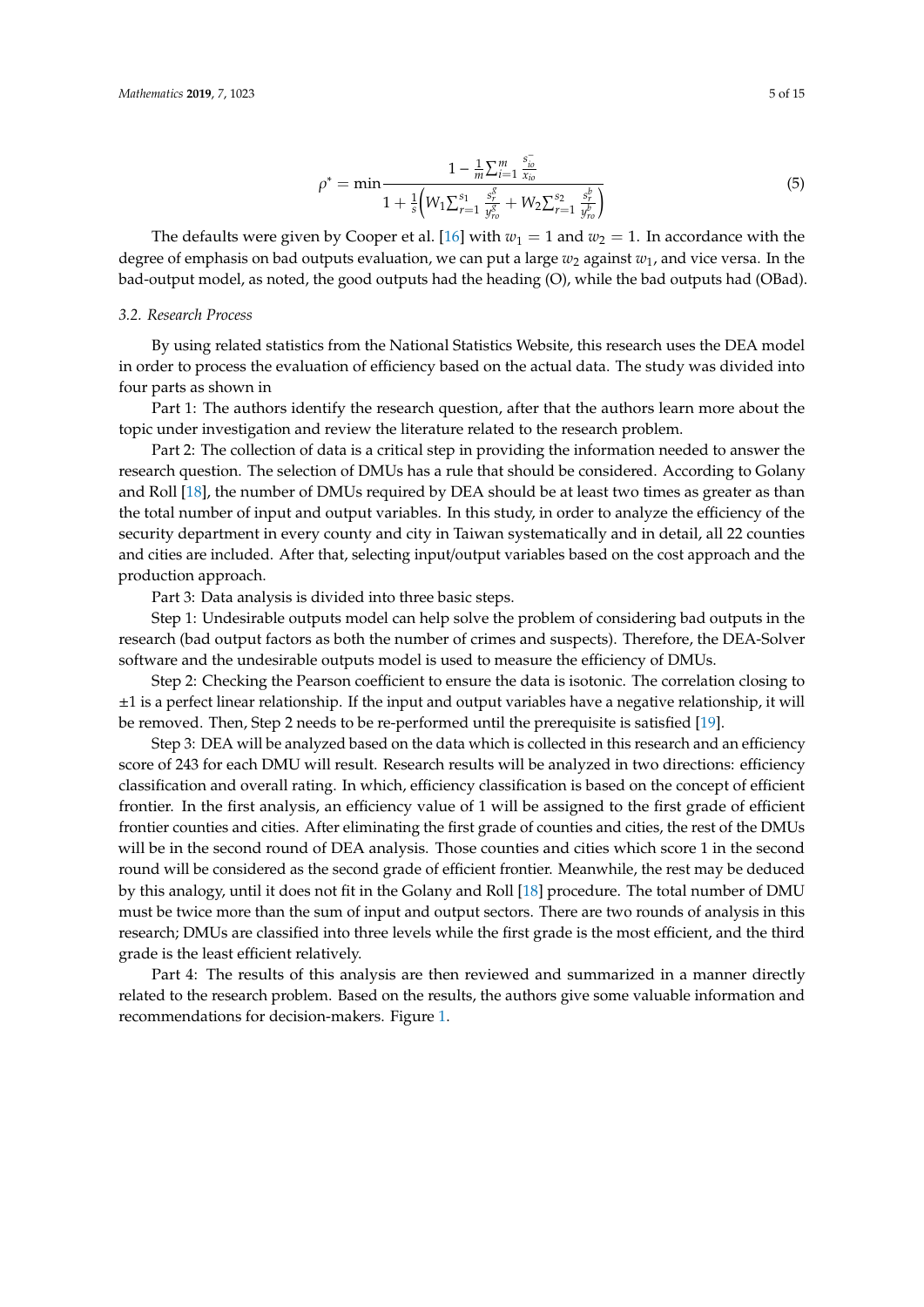$$
\rho^* = \min \frac{1 - \frac{1}{m} \sum_{i=1}^m \frac{s_{io}^-}{x_{io}}}{1 + \frac{1}{s} \left( W_1 \sum_{r=1}^{s_1} \frac{s_r^s}{y_{ro}^s} + W_2 \sum_{r=1}^{s_2} \frac{s_r^b}{y_{ro}^b} \right)}
$$
(5)

The defaults were given by Cooper et al. [\[16\]](#page-13-15) with  $w_1 = 1$  and  $w_2 = 1$ . In accordance with the degree of emphasis on bad outputs evaluation, we can put a large  $w_2$  against  $w_1$ , and vice versa. In the bad-output model, as noted, the good outputs had the heading (O), while the bad outputs had (OBad).

## *3.2. Research Process*

By using related statistics from the National Statistics Website, this research uses the DEA model in order to process the evaluation of efficiency based on the actual data. The study was divided into four parts as shown in

Part 1: The authors identify the research question, after that the authors learn more about the topic under investigation and review the literature related to the research problem.

Part 2: The collection of data is a critical step in providing the information needed to answer the research question. The selection of DMUs has a rule that should be considered. According to Golany and Roll [\[18\]](#page-13-17), the number of DMUs required by DEA should be at least two times as greater as than the total number of input and output variables. In this study, in order to analyze the efficiency of the security department in every county and city in Taiwan systematically and in detail, all 22 counties and cities are included. After that, selecting input/output variables based on the cost approach and the production approach.

Part 3: Data analysis is divided into three basic steps.

Step 1: Undesirable outputs model can help solve the problem of considering bad outputs in the research (bad output factors as both the number of crimes and suspects). Therefore, the DEA-Solver software and the undesirable outputs model is used to measure the efficiency of DMUs.

Step 2: Checking the Pearson coefficient to ensure the data is isotonic. The correlation closing to  $±1$  is a perfect linear relationship. If the input and output variables have a negative relationship, it will be removed. Then, Step 2 needs to be re-performed until the prerequisite is satisfied [\[19\]](#page-13-18).

Step 3: DEA will be analyzed based on the data which is collected in this research and an efficiency score of 243 for each DMU will result. Research results will be analyzed in two directions: efficiency classification and overall rating. In which, efficiency classification is based on the concept of efficient frontier. In the first analysis, an efficiency value of 1 will be assigned to the first grade of efficient frontier counties and cities. After eliminating the first grade of counties and cities, the rest of the DMUs will be in the second round of DEA analysis. Those counties and cities which score 1 in the second round will be considered as the second grade of efficient frontier. Meanwhile, the rest may be deduced by this analogy, until it does not fit in the Golany and Roll [\[18\]](#page-13-17) procedure. The total number of DMU must be twice more than the sum of input and output sectors. There are two rounds of analysis in this research; DMUs are classified into three levels while the first grade is the most efficient, and the third grade is the least efficient relatively.

Part 4: The results of this analysis are then reviewed and summarized in a manner directly related to the research problem. Based on the results, the authors give some valuable information and recommendations for decision-makers. Figure [1.](#page-5-0)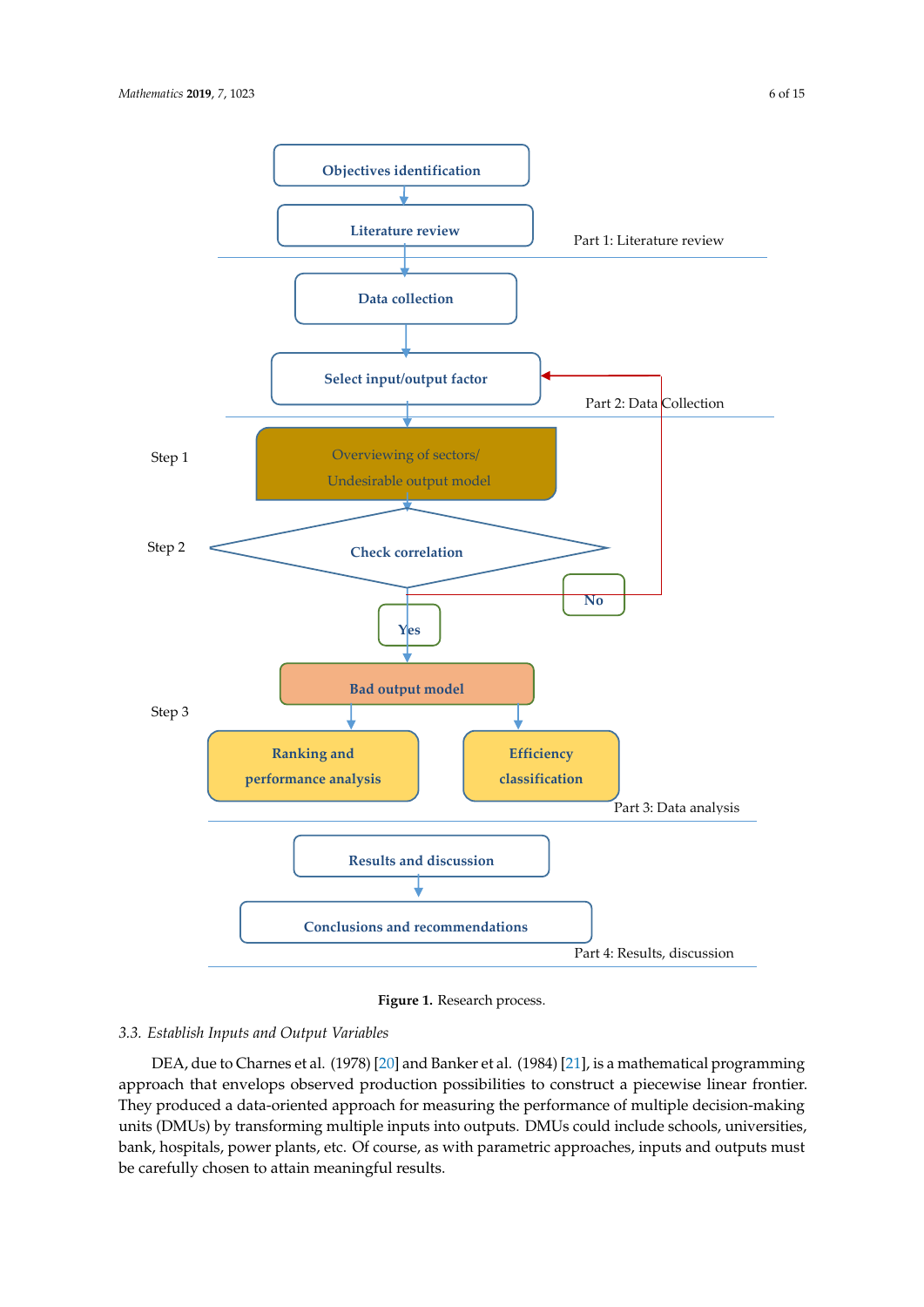<span id="page-5-0"></span>

**Figure 1.** Research process. **Figure 1.** Research process.

# *3.3. Establish Inputs and Output Variables*

DEA, due to Charnes et al. (1978) [\[20\]](#page-14-0) and Banker et al. (1984) [\[21\]](#page-14-1), is a mathematical programming approach that envelops observed production possibilities to construct a piecewise linear frontier. They produced a data-oriented approach for measuring the performance of multiple decision-making units (DMUs) by transforming multiple inputs into outputs. DMUs could include schools, universities, bank, hospitals, power plants, etc. Of course, as with parametric approaches, inputs and outputs must be carefully chosen to attain meaningful results.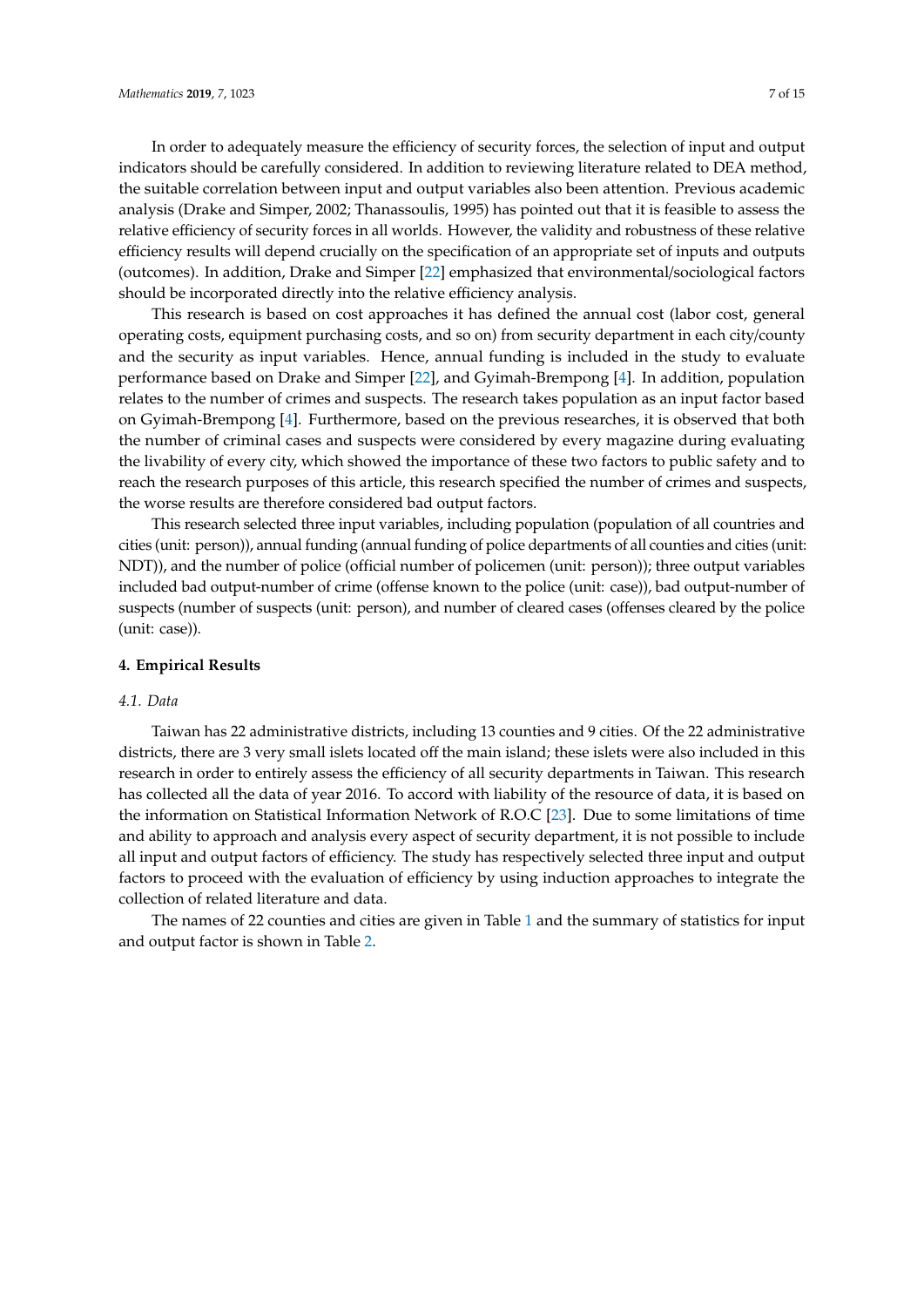In order to adequately measure the efficiency of security forces, the selection of input and output indicators should be carefully considered. In addition to reviewing literature related to DEA method, the suitable correlation between input and output variables also been attention. Previous academic analysis (Drake and Simper, 2002; Thanassoulis, 1995) has pointed out that it is feasible to assess the relative efficiency of security forces in all worlds. However, the validity and robustness of these relative efficiency results will depend crucially on the specification of an appropriate set of inputs and outputs (outcomes). In addition, Drake and Simper [\[22\]](#page-14-2) emphasized that environmental/sociological factors should be incorporated directly into the relative efficiency analysis.

This research is based on cost approaches it has defined the annual cost (labor cost, general operating costs, equipment purchasing costs, and so on) from security department in each city/county and the security as input variables. Hence, annual funding is included in the study to evaluate performance based on Drake and Simper [\[22\]](#page-14-2), and Gyimah-Brempong [\[4\]](#page-13-3). In addition, population relates to the number of crimes and suspects. The research takes population as an input factor based on Gyimah-Brempong [\[4\]](#page-13-3). Furthermore, based on the previous researches, it is observed that both the number of criminal cases and suspects were considered by every magazine during evaluating the livability of every city, which showed the importance of these two factors to public safety and to reach the research purposes of this article, this research specified the number of crimes and suspects, the worse results are therefore considered bad output factors.

This research selected three input variables, including population (population of all countries and cities (unit: person)), annual funding (annual funding of police departments of all counties and cities (unit: NDT)), and the number of police (official number of policemen (unit: person)); three output variables included bad output-number of crime (offense known to the police (unit: case)), bad output-number of suspects (number of suspects (unit: person), and number of cleared cases (offenses cleared by the police (unit: case)).

#### <span id="page-6-0"></span>**4. Empirical Results**

### *4.1. Data*

Taiwan has 22 administrative districts, including 13 counties and 9 cities. Of the 22 administrative districts, there are 3 very small islets located off the main island; these islets were also included in this research in order to entirely assess the efficiency of all security departments in Taiwan. This research has collected all the data of year 2016. To accord with liability of the resource of data, it is based on the information on Statistical Information Network of R.O.C [\[23\]](#page-14-3). Due to some limitations of time and ability to approach and analysis every aspect of security department, it is not possible to include all input and output factors of efficiency. The study has respectively selected three input and output factors to proceed with the evaluation of efficiency by using induction approaches to integrate the collection of related literature and data.

The names of 22 counties and cities are given in Table [1](#page-7-0) and the summary of statistics for input and output factor is shown in Table [2.](#page-7-1)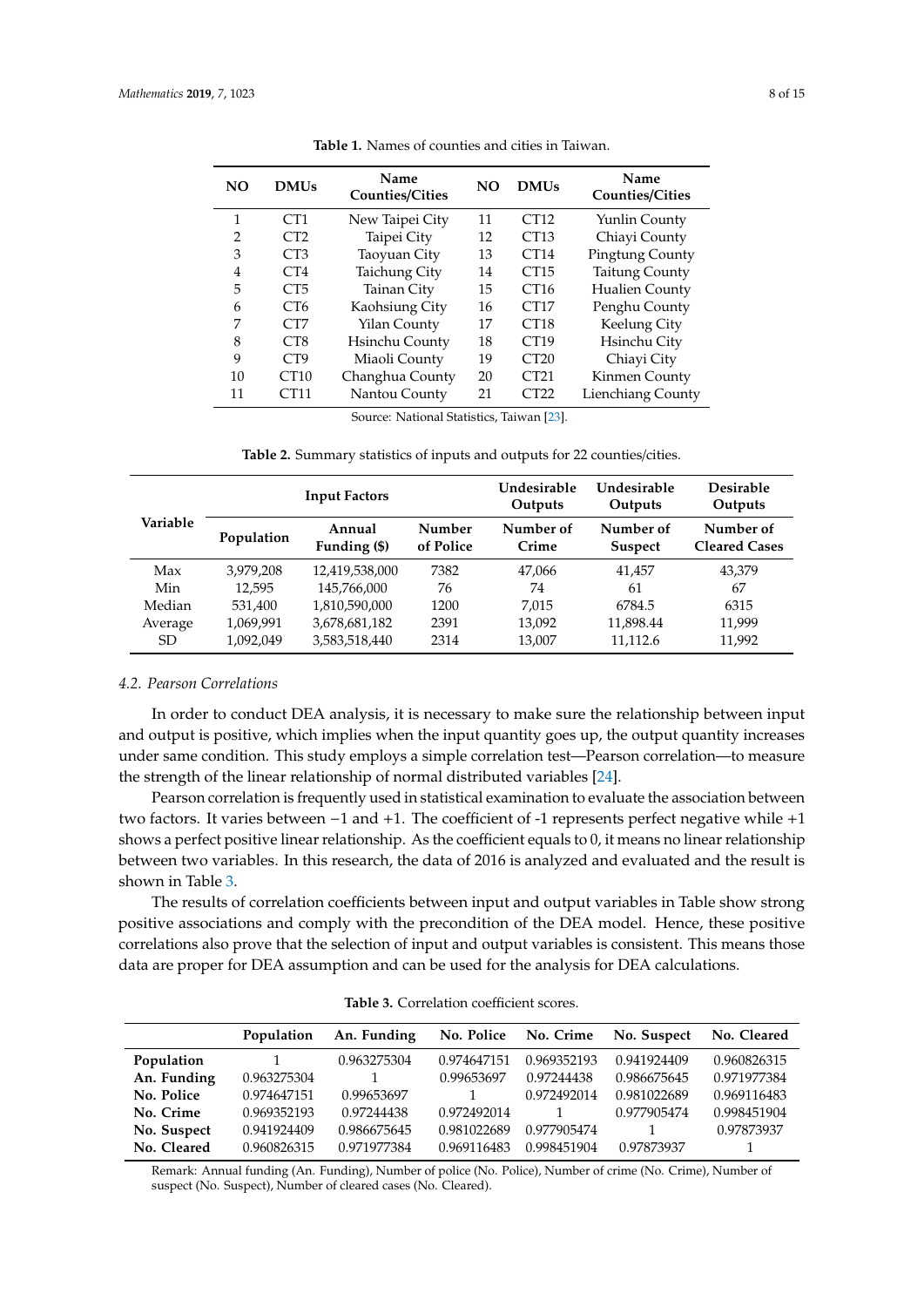<span id="page-7-0"></span>

| NO.            | Name<br><b>DMUs</b><br><b>Counties/Cities</b> |                 | NO. | <b>DMUs</b>      | Name<br><b>Counties/Cities</b> |
|----------------|-----------------------------------------------|-----------------|-----|------------------|--------------------------------|
| 1              | CT1                                           | New Taipei City | 11  | CT12             | Yunlin County                  |
| $\overline{2}$ | CT2                                           | Taipei City     | 12  | CT13             | Chiayi County                  |
| 3              | CT <sub>3</sub>                               | Taoyuan City    | 13  | CT <sub>14</sub> | Pingtung County                |
| 4              | CT4                                           | Taichung City   | 14  | CT15             | <b>Taitung County</b>          |
| 5              | CT <sub>5</sub>                               | Tainan City     | 15  | CT16             | <b>Hualien County</b>          |
| 6              | CT6                                           | Kaohsiung City  | 16  | CT17             | Penghu County                  |
| 7              | CT7                                           | Yilan County    | 17  | CT18             | Keelung City                   |
| 8              | CT <sub>8</sub>                               | Hsinchu County  | 18  | CT19             | Hsinchu City                   |
| 9              | CT9                                           | Miaoli County   | 19  | CT20             | Chiayi City                    |
| 10             | CT10                                          | Changhua County | 20  | CT21             | Kinmen County                  |
| 11             | CT11                                          | Nantou County   | 21  | CT22             | Lienchiang County              |
|                |                                               |                 |     |                  |                                |

**Table 1.** Names of counties and cities in Taiwan.

Source: National Statistics, Taiwan [\[23\]](#page-14-3).

**Table 2.** Summary statistics of inputs and outputs for 22 counties/cities.

<span id="page-7-1"></span>

| Variable       |                        | <b>Input Factors</b>           |                     | Undesirable<br>Outputs | Undesirable<br>Outputs      | <b>Desirable</b><br>Outputs       |
|----------------|------------------------|--------------------------------|---------------------|------------------------|-----------------------------|-----------------------------------|
|                | Population             | Annual<br>Funding (\$)         | Number<br>of Police | Number of<br>Crime     | Number of<br><b>Suspect</b> | Number of<br><b>Cleared Cases</b> |
| Max<br>Min     | 3,979,208<br>12,595    | 12,419,538,000<br>145,766,000  | 7382<br>76          | 47,066<br>74           | 41.457<br>61                | 43,379<br>67                      |
| Median         | 531,400                | 1,810,590,000                  | 1200                | 7.015                  | 6784.5                      | 6315                              |
| Average<br>SD. | 1,069,991<br>1,092,049 | 3,678,681,182<br>3,583,518,440 | 2391<br>2314        | 13,092<br>13,007       | 11,898.44<br>11,112.6       | 11,999<br>11,992                  |

## *4.2. Pearson Correlations*

In order to conduct DEA analysis, it is necessary to make sure the relationship between input and output is positive, which implies when the input quantity goes up, the output quantity increases under same condition. This study employs a simple correlation test—Pearson correlation—to measure the strength of the linear relationship of normal distributed variables [\[24\]](#page-14-4).

Pearson correlation is frequently used in statistical examination to evaluate the association between two factors. It varies between −1 and +1. The coefficient of -1 represents perfect negative while +1 shows a perfect positive linear relationship. As the coefficient equals to 0, it means no linear relationship between two variables. In this research, the data of 2016 is analyzed and evaluated and the result is shown in Table [3.](#page-7-2)

The results of correlation coefficients between input and output variables in Table show strong positive associations and comply with the precondition of the DEA model. Hence, these positive correlations also prove that the selection of input and output variables is consistent. This means those data are proper for DEA assumption and can be used for the analysis for DEA calculations.

<span id="page-7-2"></span>

|             | Population  | An. Funding | No. Police  | No. Crime   | No. Suspect | No. Cleared |
|-------------|-------------|-------------|-------------|-------------|-------------|-------------|
| Population  |             | 0.963275304 | 0.974647151 | 0.969352193 | 0.941924409 | 0.960826315 |
| An. Funding | 0.963275304 |             | 0.99653697  | 0.97244438  | 0.986675645 | 0.971977384 |
| No. Police  | 0.974647151 | 0.99653697  |             | 0.972492014 | 0.981022689 | 0.969116483 |
| No. Crime   | 0.969352193 | 0.97244438  | 0.972492014 |             | 0.977905474 | 0.998451904 |
| No. Suspect | 0.941924409 | 0.986675645 | 0.981022689 | 0.977905474 |             | 0.97873937  |
| No. Cleared | 0.960826315 | 0.971977384 | 0.969116483 | 0.998451904 | 0.97873937  |             |
|             |             |             |             |             |             |             |

**Table 3.** Correlation coefficient scores.

Remark: Annual funding (An. Funding), Number of police (No. Police), Number of crime (No. Crime), Number of suspect (No. Suspect), Number of cleared cases (No. Cleared).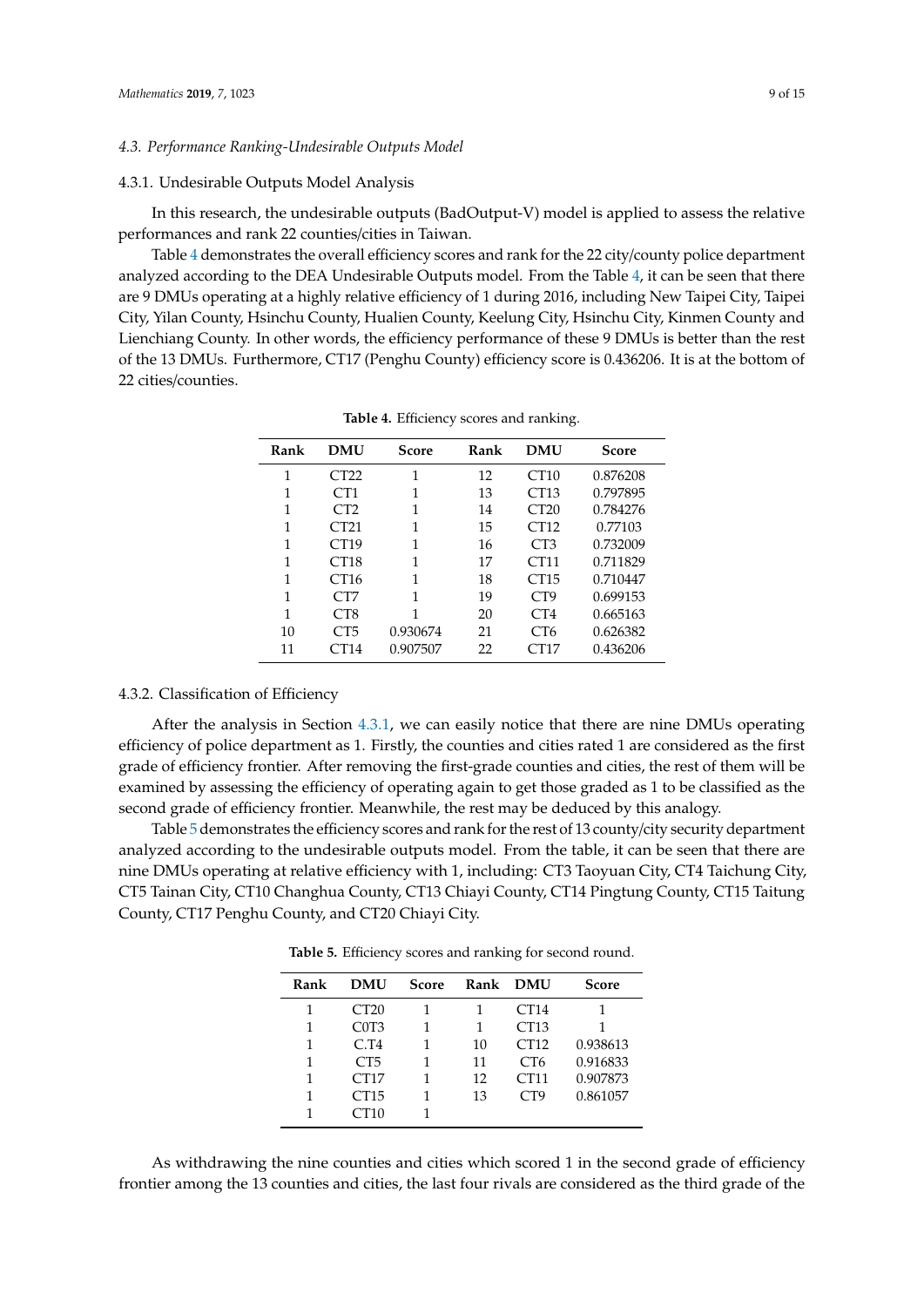## *4.3. Performance Ranking-Undesirable Outputs Model*

#### <span id="page-8-1"></span>4.3.1. Undesirable Outputs Model Analysis

In this research, the undesirable outputs (BadOutput-V) model is applied to assess the relative performances and rank 22 counties/cities in Taiwan.

Table [4](#page-8-0) demonstrates the overall efficiency scores and rank for the 22 city/county police department analyzed according to the DEA Undesirable Outputs model. From the Table [4,](#page-8-0) it can be seen that there are 9 DMUs operating at a highly relative efficiency of 1 during 2016, including New Taipei City, Taipei City, Yilan County, Hsinchu County, Hualien County, Keelung City, Hsinchu City, Kinmen County and Lienchiang County. In other words, the efficiency performance of these 9 DMUs is better than the rest of the 13 DMUs. Furthermore, CT17 (Penghu County) efficiency score is 0.436206. It is at the bottom of 22 cities/counties.

<span id="page-8-0"></span>

| Rank | <b>DMU</b>      | Score    | Rank | <b>DMU</b>      | Score    |
|------|-----------------|----------|------|-----------------|----------|
| 1    | CT22            | 1        | 12   | CT10            | 0.876208 |
| 1    | CT <sub>1</sub> | 1        | 13   | CT13            | 0.797895 |
| 1    | CT2             | 1        | 14   | CT20            | 0.784276 |
| 1    | CT21            | 1        | 15   | CT12            | 0.77103  |
| 1    | CT19            | 1        | 16   | CT3             | 0.732009 |
| 1    | CT18            | 1        | 17   | CT11            | 0.711829 |
| 1    | CT16            | 1        | 18   | CT15            | 0.710447 |
| 1    | CT7             | 1        | 19   | C <sub>T9</sub> | 0.699153 |
| 1    | CT8             | 1        | 20   | CT4             | 0.665163 |
| 10   | CT5             | 0.930674 | 21   | CT6             | 0.626382 |
| 11   | CT14            | 0.907507 | 22   | CT17            | 0.436206 |

**Table 4.** Efficiency scores and ranking.

#### 4.3.2. Classification of Efficiency

After the analysis in Section [4.3.1,](#page-8-1) we can easily notice that there are nine DMUs operating efficiency of police department as 1. Firstly, the counties and cities rated 1 are considered as the first grade of efficiency frontier. After removing the first-grade counties and cities, the rest of them will be examined by assessing the efficiency of operating again to get those graded as 1 to be classified as the second grade of efficiency frontier. Meanwhile, the rest may be deduced by this analogy.

<span id="page-8-2"></span>Table [5](#page-8-2) demonstrates the efficiency scores and rank for the rest of 13 county/city security department analyzed according to the undesirable outputs model. From the table, it can be seen that there are nine DMUs operating at relative efficiency with 1, including: CT3 Taoyuan City, CT4 Taichung City, CT5 Tainan City, CT10 Changhua County, CT13 Chiayi County, CT14 Pingtung County, CT15 Taitung County, CT17 Penghu County, and CT20 Chiayi City.

**Table 5.** Efficiency scores and ranking for second round.

| Rank | <b>DMU</b>                     | Score |    | Rank DMU        | <b>Score</b> |
|------|--------------------------------|-------|----|-----------------|--------------|
|      | CT20                           |       |    | CT14            |              |
|      | C <sub>0</sub> TT <sub>3</sub> |       |    | CT13            |              |
|      | C.T4                           |       | 10 | CT12            | 0.938613     |
|      | CT5                            |       | 11 | CT <sub>6</sub> | 0.916833     |
| 1    | CT17                           |       | 12 | CT11            | 0.907873     |
|      | CT15                           |       | 13 | CT9             | 0.861057     |
|      | CT10                           |       |    |                 |              |

As withdrawing the nine counties and cities which scored 1 in the second grade of efficiency frontier among the 13 counties and cities, the last four rivals are considered as the third grade of the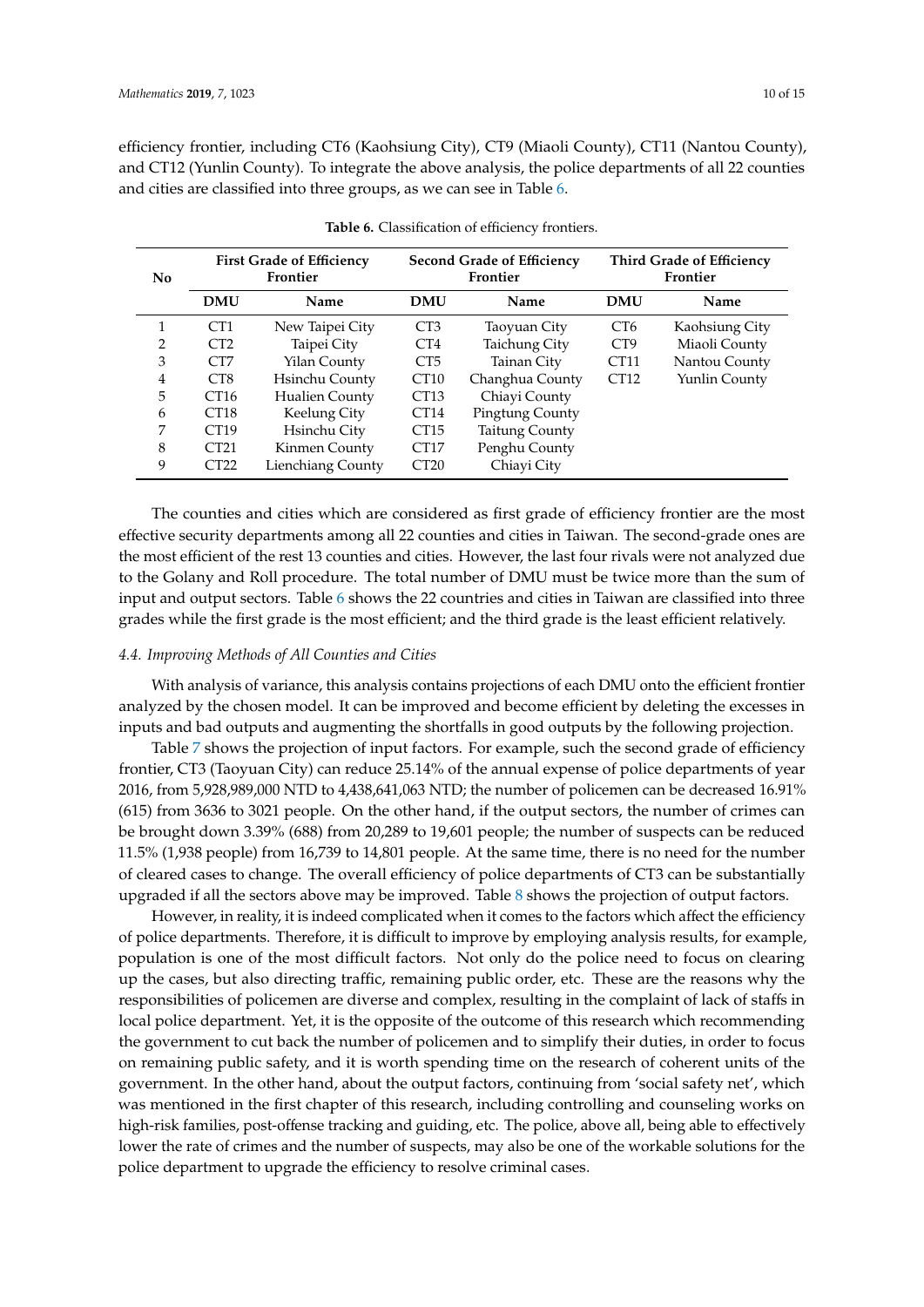efficiency frontier, including CT6 (Kaohsiung City), CT9 (Miaoli County), CT11 (Nantou County), and CT12 (Yunlin County). To integrate the above analysis, the police departments of all 22 counties and cities are classified into three groups, as we can see in Table [6.](#page-9-0)

<span id="page-9-0"></span>

| No |                  | <b>First Grade of Efficiency</b><br>Frontier |                  | <b>Second Grade of Efficiency</b><br>Frontier | <b>Third Grade of Efficiency</b><br>Frontier |                |  |
|----|------------------|----------------------------------------------|------------------|-----------------------------------------------|----------------------------------------------|----------------|--|
|    | <b>DMU</b>       | Name                                         | <b>DMU</b>       | Name                                          | <b>DMU</b>                                   | Name           |  |
|    | CT <sub>1</sub>  | New Taipei City                              | C <sub>T</sub> 3 | Taoyuan City                                  | C <sub>T6</sub>                              | Kaohsiung City |  |
| 2  | CT2              | Taipei City                                  | CT4              | Taichung City                                 | CT <sub>9</sub>                              | Miaoli County  |  |
| 3  | CT <sub>7</sub>  | <b>Yilan County</b>                          | CT <sub>5</sub>  | Tainan City                                   | CT <sub>11</sub>                             | Nantou County  |  |
| 4  | CT <sub>8</sub>  | Hsinchu County                               | CT <sub>10</sub> | Changhua County                               | CT <sub>12</sub>                             | Yunlin County  |  |
| 5  | CT <sub>16</sub> | <b>Hualien County</b>                        | CT <sub>13</sub> | Chiayi County                                 |                                              |                |  |
| 6  | CT18             | Keelung City                                 | CT14             | Pingtung County                               |                                              |                |  |
| 7  | CT19             | Hsinchu City                                 | CT15             | <b>Taitung County</b>                         |                                              |                |  |
| 8  | CT21             | Kinmen County                                | CT17             | Penghu County                                 |                                              |                |  |
| 9  | CT22             | Lienchiang County                            | CT20             | Chiayi City                                   |                                              |                |  |

**Table 6.** Classification of efficiency frontiers.

The counties and cities which are considered as first grade of efficiency frontier are the most effective security departments among all 22 counties and cities in Taiwan. The second-grade ones are the most efficient of the rest 13 counties and cities. However, the last four rivals were not analyzed due to the Golany and Roll procedure. The total number of DMU must be twice more than the sum of input and output sectors. Table [6](#page-9-0) shows the 22 countries and cities in Taiwan are classified into three grades while the first grade is the most efficient; and the third grade is the least efficient relatively.

## *4.4. Improving Methods of All Counties and Cities*

With analysis of variance, this analysis contains projections of each DMU onto the efficient frontier analyzed by the chosen model. It can be improved and become efficient by deleting the excesses in inputs and bad outputs and augmenting the shortfalls in good outputs by the following projection.

Table [7](#page-10-0) shows the projection of input factors. For example, such the second grade of efficiency frontier, CT3 (Taoyuan City) can reduce 25.14% of the annual expense of police departments of year 2016, from 5,928,989,000 NTD to 4,438,641,063 NTD; the number of policemen can be decreased 16.91% (615) from 3636 to 3021 people. On the other hand, if the output sectors, the number of crimes can be brought down 3.39% (688) from 20,289 to 19,601 people; the number of suspects can be reduced 11.5% (1,938 people) from 16,739 to 14,801 people. At the same time, there is no need for the number of cleared cases to change. The overall efficiency of police departments of CT3 can be substantially upgraded if all the sectors above may be improved. Table [8](#page-10-1) shows the projection of output factors.

However, in reality, it is indeed complicated when it comes to the factors which affect the efficiency of police departments. Therefore, it is difficult to improve by employing analysis results, for example, population is one of the most difficult factors. Not only do the police need to focus on clearing up the cases, but also directing traffic, remaining public order, etc. These are the reasons why the responsibilities of policemen are diverse and complex, resulting in the complaint of lack of staffs in local police department. Yet, it is the opposite of the outcome of this research which recommending the government to cut back the number of policemen and to simplify their duties, in order to focus on remaining public safety, and it is worth spending time on the research of coherent units of the government. In the other hand, about the output factors, continuing from 'social safety net', which was mentioned in the first chapter of this research, including controlling and counseling works on high-risk families, post-offense tracking and guiding, etc. The police, above all, being able to effectively lower the rate of crimes and the number of suspects, may also be one of the workable solutions for the police department to upgrade the efficiency to resolve criminal cases.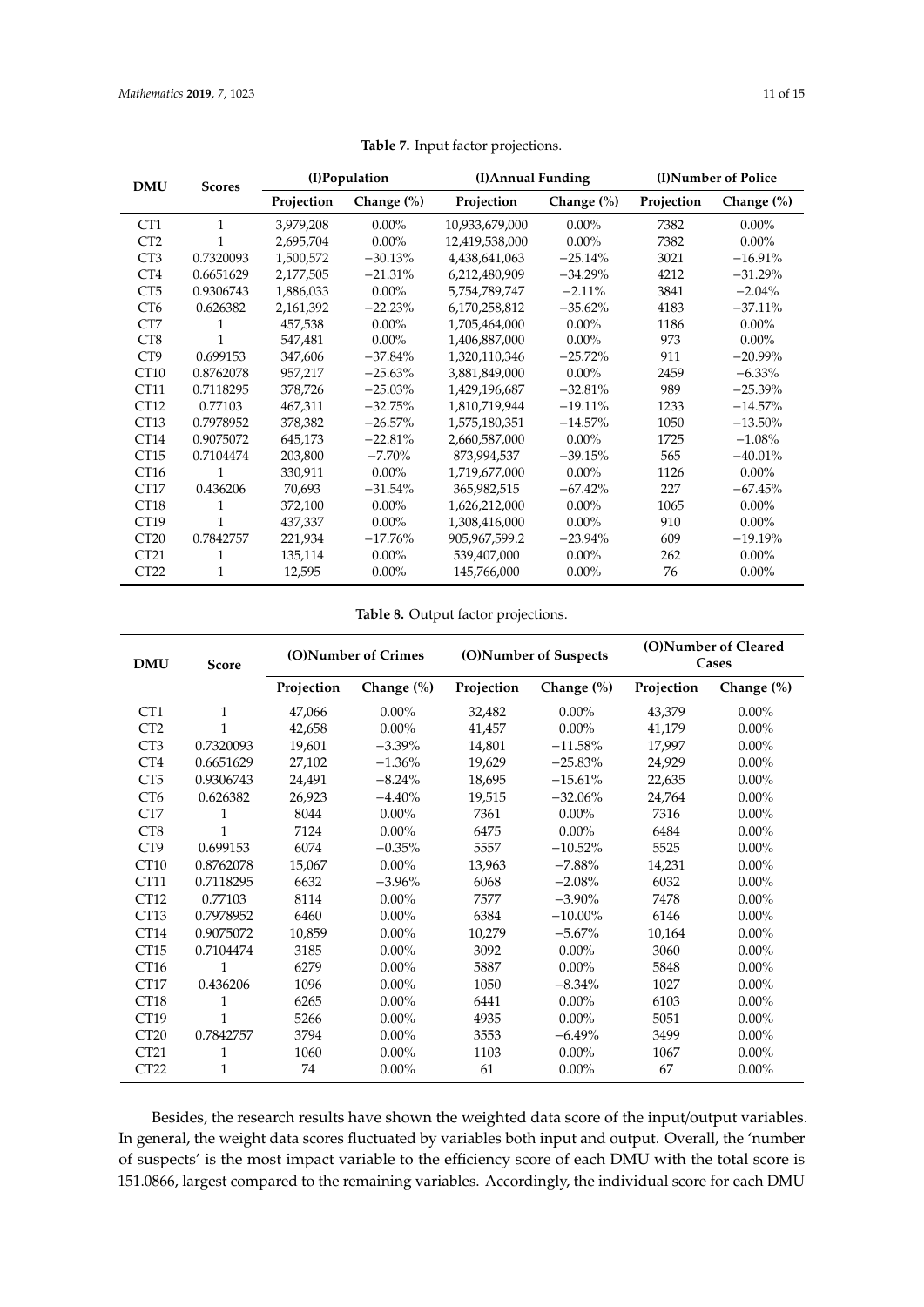<span id="page-10-0"></span>

| <b>DMU</b>       | <b>Scores</b> |            | (I)Population | (I) Annual Funding |               | (I) Number of Police |               |
|------------------|---------------|------------|---------------|--------------------|---------------|----------------------|---------------|
|                  |               | Projection | Change (%)    | Projection         | Change $(\%)$ | Projection           | Change $(\%)$ |
| CT1              | 1             | 3,979,208  | $0.00\%$      | 10,933,679,000     | $0.00\%$      | 7382                 | $0.00\%$      |
| CT2              | 1             | 2,695,704  | $0.00\%$      | 12,419,538,000     | $0.00\%$      | 7382                 | $0.00\%$      |
| CT <sub>3</sub>  | 0.7320093     | 1,500,572  | $-30.13%$     | 4,438,641,063      | $-25.14%$     | 3021                 | $-16.91%$     |
| CT <sub>4</sub>  | 0.6651629     | 2,177,505  | $-21.31%$     | 6,212,480,909      | $-34.29\%$    | 4212                 | $-31.29\%$    |
| CT <sub>5</sub>  | 0.9306743     | 1,886,033  | $0.00\%$      | 5,754,789,747      | $-2.11%$      | 3841                 | $-2.04\%$     |
| CT <sub>6</sub>  | 0.626382      | 2,161,392  | $-22.23%$     | 6,170,258,812      | $-35.62\%$    | 4183                 | $-37.11\%$    |
| CT7              | 1             | 457,538    | $0.00\%$      | 1,705,464,000      | $0.00\%$      | 1186                 | $0.00\%$      |
| CT <sub>8</sub>  | 1             | 547,481    | $0.00\%$      | 1,406,887,000      | $0.00\%$      | 973                  | $0.00\%$      |
| CT <sub>9</sub>  | 0.699153      | 347,606    | $-37.84\%$    | 1,320,110,346      | $-25.72\%$    | 911                  | $-20.99\%$    |
| CT <sub>10</sub> | 0.8762078     | 957,217    | $-25.63\%$    | 3,881,849,000      | $0.00\%$      | 2459                 | $-6.33\%$     |
| CT <sub>11</sub> | 0.7118295     | 378,726    | $-25.03\%$    | 1,429,196,687      | $-32.81%$     | 989                  | $-25.39\%$    |
| CT12             | 0.77103       | 467,311    | $-32.75%$     | 1,810,719,944      | $-19.11%$     | 1233                 | $-14.57\%$    |
| CT13             | 0.7978952     | 378,382    | $-26.57%$     | 1,575,180,351      | $-14.57\%$    | 1050                 | $-13.50\%$    |
| CT <sub>14</sub> | 0.9075072     | 645,173    | $-22.81%$     | 2,660,587,000      | $0.00\%$      | 1725                 | $-1.08%$      |
| CT15             | 0.7104474     | 203,800    | $-7.70\%$     | 873,994,537        | $-39.15%$     | 565                  | $-40.01\%$    |
| CT16             | 1             | 330,911    | $0.00\%$      | 1,719,677,000      | $0.00\%$      | 1126                 | $0.00\%$      |
| CT17             | 0.436206      | 70,693     | $-31.54\%$    | 365,982,515        | $-67.42\%$    | 227                  | $-67.45%$     |
| CT <sub>18</sub> | 1             | 372,100    | $0.00\%$      | 1,626,212,000      | $0.00\%$      | 1065                 | $0.00\%$      |
| CT19             | 1             | 437,337    | $0.00\%$      | 1,308,416,000      | $0.00\%$      | 910                  | $0.00\%$      |
| CT20             | 0.7842757     | 221,934    | $-17.76%$     | 905, 967, 599.2    | $-23.94\%$    | 609                  | $-19.19%$     |
| CT21             | 1             | 135,114    | $0.00\%$      | 539,407,000        | $0.00\%$      | 262                  | $0.00\%$      |
| CT22             | 1             | 12,595     | $0.00\%$      | 145,766,000        | $0.00\%$      | 76                   | $0.00\%$      |

**Table 7.** Input factor projections.

**Table 8.** Output factor projections.

<span id="page-10-1"></span>

| <b>DMU</b>       | <b>Score</b>   | (O)Number of Crimes |               | (O)Number of Suspects |                | (O)Number of Cleared<br>Cases |            |
|------------------|----------------|---------------------|---------------|-----------------------|----------------|-------------------------------|------------|
|                  |                | Projection          | Change $(\%)$ | Projection            | Change $(\% )$ | Projection                    | Change (%) |
| CT1              | $\mathbf{1}$   | 47,066              | $0.00\%$      | 32,482                | $0.00\%$       | 43,379                        | $0.00\%$   |
| CT2              | $\overline{1}$ | 42,658              | $0.00\%$      | 41,457                | $0.00\%$       | 41,179                        | $0.00\%$   |
| CT <sub>3</sub>  | 0.7320093      | 19,601              | $-3.39\%$     | 14,801                | $-11.58\%$     | 17,997                        | $0.00\%$   |
| CT4              | 0.6651629      | 27,102              | $-1.36\%$     | 19,629                | $-25.83\%$     | 24,929                        | $0.00\%$   |
| CT <sub>5</sub>  | 0.9306743      | 24,491              | $-8.24\%$     | 18,695                | $-15.61\%$     | 22,635                        | $0.00\%$   |
| CT <sub>6</sub>  | 0.626382       | 26,923              | $-4.40%$      | 19,515                | $-32.06\%$     | 24,764                        | $0.00\%$   |
| CT7              | 1              | 8044                | $0.00\%$      | 7361                  | $0.00\%$       | 7316                          | $0.00\%$   |
| CT <sub>8</sub>  | 1              | 7124                | $0.00\%$      | 6475                  | $0.00\%$       | 6484                          | $0.00\%$   |
| CT <sub>9</sub>  | 0.699153       | 6074                | $-0.35%$      | 5557                  | $-10.52\%$     | 5525                          | $0.00\%$   |
| CT <sub>10</sub> | 0.8762078      | 15,067              | $0.00\%$      | 13,963                | $-7.88%$       | 14,231                        | $0.00\%$   |
| CT <sub>11</sub> | 0.7118295      | 6632                | $-3.96\%$     | 6068                  | $-2.08%$       | 6032                          | $0.00\%$   |
| CT12             | 0.77103        | 8114                | $0.00\%$      | 7577                  | $-3.90\%$      | 7478                          | $0.00\%$   |
| CT <sub>13</sub> | 0.7978952      | 6460                | $0.00\%$      | 6384                  | $-10.00\%$     | 6146                          | $0.00\%$   |
| CT14             | 0.9075072      | 10,859              | $0.00\%$      | 10,279                | $-5.67\%$      | 10,164                        | $0.00\%$   |
| CT15             | 0.7104474      | 3185                | $0.00\%$      | 3092                  | $0.00\%$       | 3060                          | $0.00\%$   |
| CT <sub>16</sub> | 1              | 6279                | $0.00\%$      | 5887                  | $0.00\%$       | 5848                          | $0.00\%$   |
| CT <sub>17</sub> | 0.436206       | 1096                | $0.00\%$      | 1050                  | $-8.34\%$      | 1027                          | $0.00\%$   |
| CT <sub>18</sub> | $\mathbf{1}$   | 6265                | $0.00\%$      | 6441                  | $0.00\%$       | 6103                          | $0.00\%$   |
| CT19             | 1              | 5266                | $0.00\%$      | 4935                  | $0.00\%$       | 5051                          | $0.00\%$   |
| CT <sub>20</sub> | 0.7842757      | 3794                | $0.00\%$      | 3553                  | $-6.49\%$      | 3499                          | $0.00\%$   |
| CT <sub>21</sub> | $\mathbf{1}$   | 1060                | $0.00\%$      | 1103                  | $0.00\%$       | 1067                          | $0.00\%$   |
| CT22             | 1              | 74                  | $0.00\%$      | 61                    | $0.00\%$       | 67                            | $0.00\%$   |

Besides, the research results have shown the weighted data score of the input/output variables. In general, the weight data scores fluctuated by variables both input and output. Overall, the 'number of suspects' is the most impact variable to the efficiency score of each DMU with the total score is 151.0866, largest compared to the remaining variables. Accordingly, the individual score for each DMU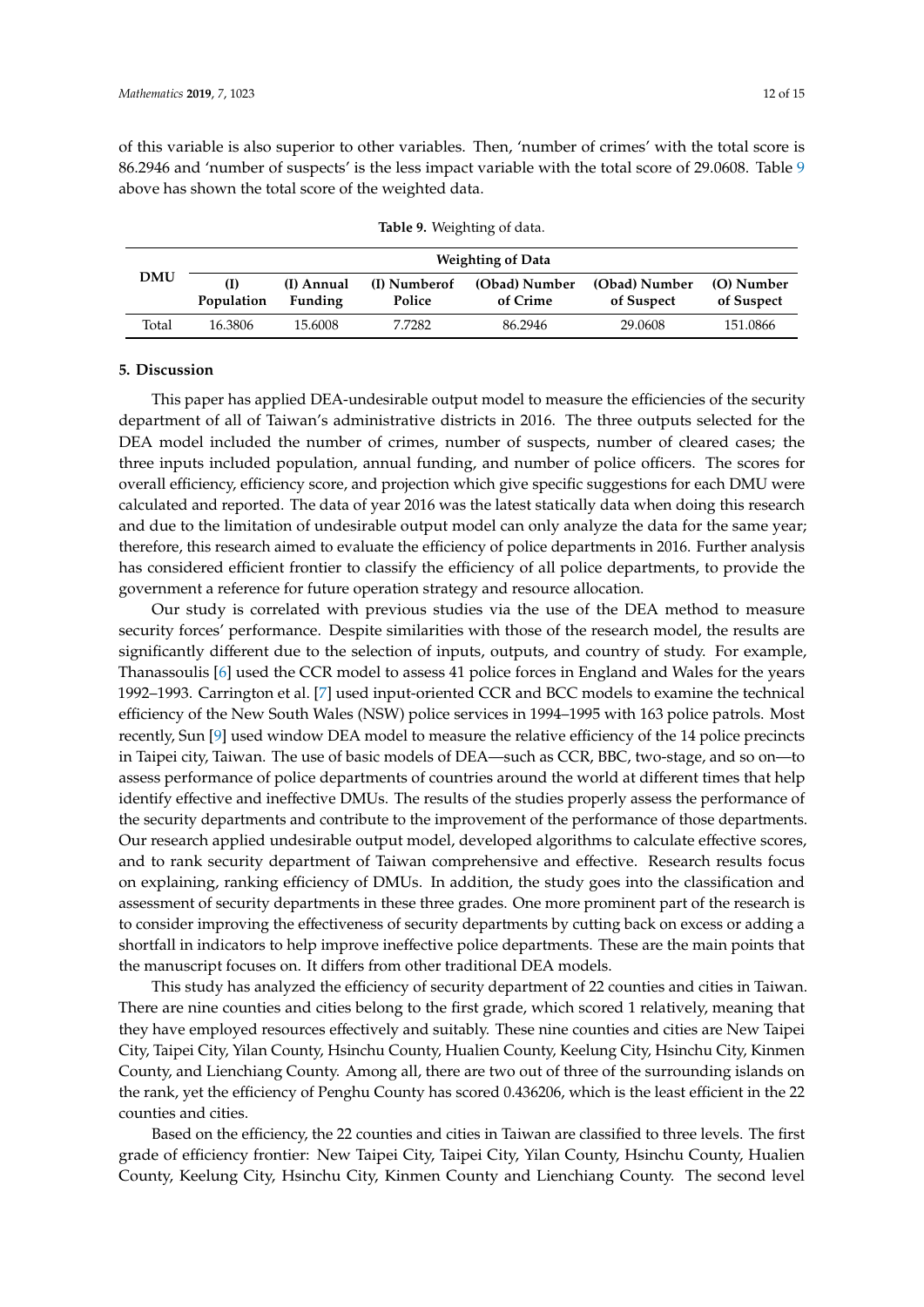of this variable is also superior to other variables. Then, 'number of crimes' with the total score is 86.2946 and 'number of suspects' is the less impact variable with the total score of 29.0608. Table [9](#page-11-1) above has shown the total score of the weighted data.

<span id="page-11-1"></span>

|            | <b>Weighting of Data</b> |                              |                        |                           |                             |                          |  |  |
|------------|--------------------------|------------------------------|------------------------|---------------------------|-----------------------------|--------------------------|--|--|
| <b>DMU</b> | (I)<br>Population        | (I) Annual<br><b>Funding</b> | (I) Numberof<br>Police | (Obad) Number<br>of Crime | (Obad) Number<br>of Suspect | (O) Number<br>of Suspect |  |  |
| Total      | 16.3806                  | 15.6008                      | 7.7282                 | 86.2946                   | 29.0608                     | 151.0866                 |  |  |

**Table 9.** Weighting of data.

#### <span id="page-11-0"></span>**5. Discussion**

This paper has applied DEA-undesirable output model to measure the efficiencies of the security department of all of Taiwan's administrative districts in 2016. The three outputs selected for the DEA model included the number of crimes, number of suspects, number of cleared cases; the three inputs included population, annual funding, and number of police officers. The scores for overall efficiency, efficiency score, and projection which give specific suggestions for each DMU were calculated and reported. The data of year 2016 was the latest statically data when doing this research and due to the limitation of undesirable output model can only analyze the data for the same year; therefore, this research aimed to evaluate the efficiency of police departments in 2016. Further analysis has considered efficient frontier to classify the efficiency of all police departments, to provide the government a reference for future operation strategy and resource allocation.

Our study is correlated with previous studies via the use of the DEA method to measure security forces' performance. Despite similarities with those of the research model, the results are significantly different due to the selection of inputs, outputs, and country of study. For example, Thanassoulis [\[6\]](#page-13-5) used the CCR model to assess 41 police forces in England and Wales for the years 1992–1993. Carrington et al. [\[7\]](#page-13-6) used input-oriented CCR and BCC models to examine the technical efficiency of the New South Wales (NSW) police services in 1994–1995 with 163 police patrols. Most recently, Sun [\[9\]](#page-13-8) used window DEA model to measure the relative efficiency of the 14 police precincts in Taipei city, Taiwan. The use of basic models of DEA—such as CCR, BBC, two-stage, and so on—to assess performance of police departments of countries around the world at different times that help identify effective and ineffective DMUs. The results of the studies properly assess the performance of the security departments and contribute to the improvement of the performance of those departments. Our research applied undesirable output model, developed algorithms to calculate effective scores, and to rank security department of Taiwan comprehensive and effective. Research results focus on explaining, ranking efficiency of DMUs. In addition, the study goes into the classification and assessment of security departments in these three grades. One more prominent part of the research is to consider improving the effectiveness of security departments by cutting back on excess or adding a shortfall in indicators to help improve ineffective police departments. These are the main points that the manuscript focuses on. It differs from other traditional DEA models.

This study has analyzed the efficiency of security department of 22 counties and cities in Taiwan. There are nine counties and cities belong to the first grade, which scored 1 relatively, meaning that they have employed resources effectively and suitably. These nine counties and cities are New Taipei City, Taipei City, Yilan County, Hsinchu County, Hualien County, Keelung City, Hsinchu City, Kinmen County, and Lienchiang County. Among all, there are two out of three of the surrounding islands on the rank, yet the efficiency of Penghu County has scored 0.436206, which is the least efficient in the 22 counties and cities.

Based on the efficiency, the 22 counties and cities in Taiwan are classified to three levels. The first grade of efficiency frontier: New Taipei City, Taipei City, Yilan County, Hsinchu County, Hualien County, Keelung City, Hsinchu City, Kinmen County and Lienchiang County. The second level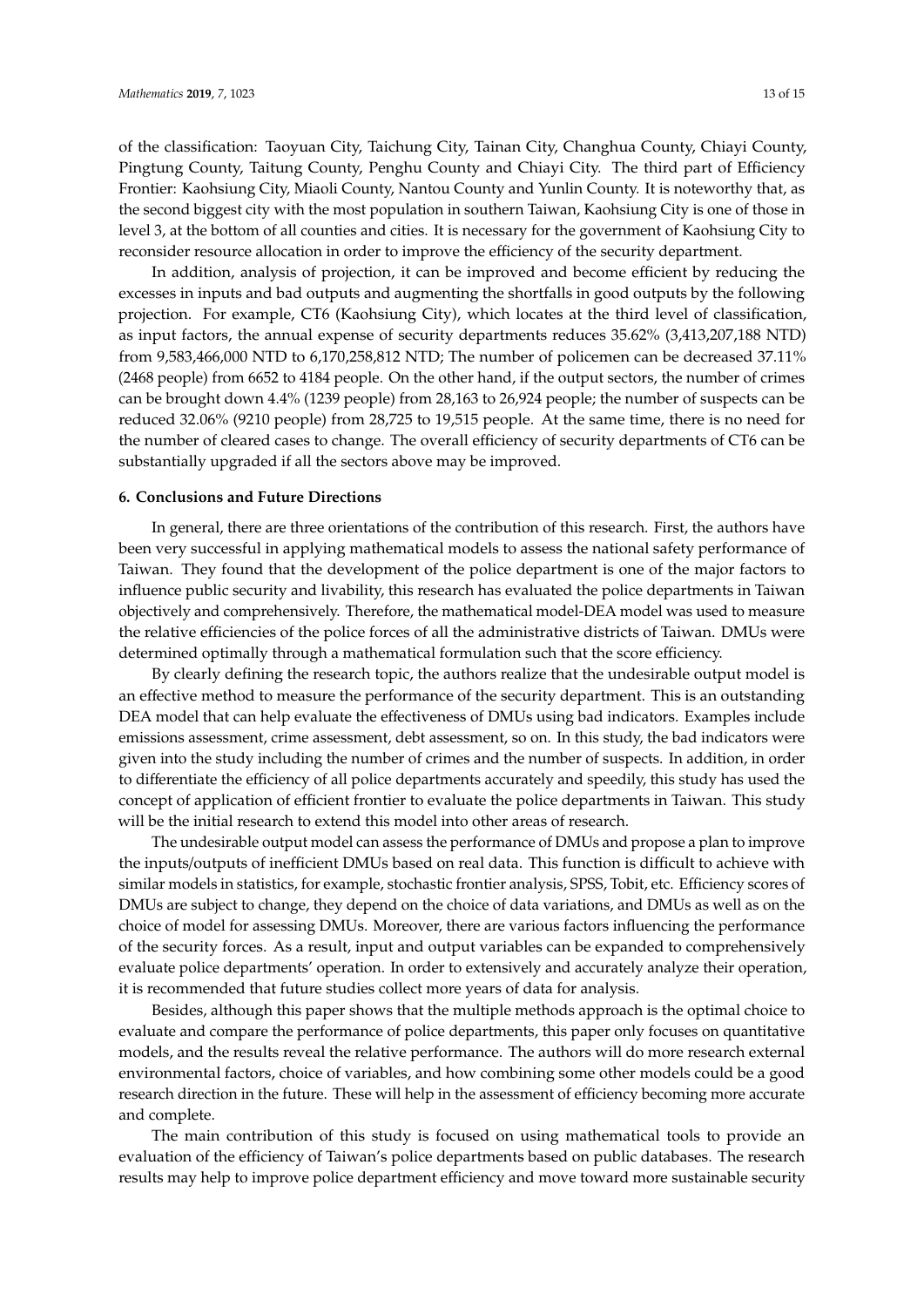of the classification: Taoyuan City, Taichung City, Tainan City, Changhua County, Chiayi County, Pingtung County, Taitung County, Penghu County and Chiayi City. The third part of Efficiency Frontier: Kaohsiung City, Miaoli County, Nantou County and Yunlin County. It is noteworthy that, as the second biggest city with the most population in southern Taiwan, Kaohsiung City is one of those in level 3, at the bottom of all counties and cities. It is necessary for the government of Kaohsiung City to reconsider resource allocation in order to improve the efficiency of the security department.

In addition, analysis of projection, it can be improved and become efficient by reducing the excesses in inputs and bad outputs and augmenting the shortfalls in good outputs by the following projection. For example, CT6 (Kaohsiung City), which locates at the third level of classification, as input factors, the annual expense of security departments reduces 35.62% (3,413,207,188 NTD) from 9,583,466,000 NTD to 6,170,258,812 NTD; The number of policemen can be decreased 37.11% (2468 people) from 6652 to 4184 people. On the other hand, if the output sectors, the number of crimes can be brought down 4.4% (1239 people) from 28,163 to 26,924 people; the number of suspects can be reduced 32.06% (9210 people) from 28,725 to 19,515 people. At the same time, there is no need for the number of cleared cases to change. The overall efficiency of security departments of CT6 can be substantially upgraded if all the sectors above may be improved.

## <span id="page-12-0"></span>**6. Conclusions and Future Directions**

In general, there are three orientations of the contribution of this research. First, the authors have been very successful in applying mathematical models to assess the national safety performance of Taiwan. They found that the development of the police department is one of the major factors to influence public security and livability, this research has evaluated the police departments in Taiwan objectively and comprehensively. Therefore, the mathematical model-DEA model was used to measure the relative efficiencies of the police forces of all the administrative districts of Taiwan. DMUs were determined optimally through a mathematical formulation such that the score efficiency.

By clearly defining the research topic, the authors realize that the undesirable output model is an effective method to measure the performance of the security department. This is an outstanding DEA model that can help evaluate the effectiveness of DMUs using bad indicators. Examples include emissions assessment, crime assessment, debt assessment, so on. In this study, the bad indicators were given into the study including the number of crimes and the number of suspects. In addition, in order to differentiate the efficiency of all police departments accurately and speedily, this study has used the concept of application of efficient frontier to evaluate the police departments in Taiwan. This study will be the initial research to extend this model into other areas of research.

The undesirable output model can assess the performance of DMUs and propose a plan to improve the inputs/outputs of inefficient DMUs based on real data. This function is difficult to achieve with similar models in statistics, for example, stochastic frontier analysis, SPSS, Tobit, etc. Efficiency scores of DMUs are subject to change, they depend on the choice of data variations, and DMUs as well as on the choice of model for assessing DMUs. Moreover, there are various factors influencing the performance of the security forces. As a result, input and output variables can be expanded to comprehensively evaluate police departments' operation. In order to extensively and accurately analyze their operation, it is recommended that future studies collect more years of data for analysis.

Besides, although this paper shows that the multiple methods approach is the optimal choice to evaluate and compare the performance of police departments, this paper only focuses on quantitative models, and the results reveal the relative performance. The authors will do more research external environmental factors, choice of variables, and how combining some other models could be a good research direction in the future. These will help in the assessment of efficiency becoming more accurate and complete.

The main contribution of this study is focused on using mathematical tools to provide an evaluation of the efficiency of Taiwan's police departments based on public databases. The research results may help to improve police department efficiency and move toward more sustainable security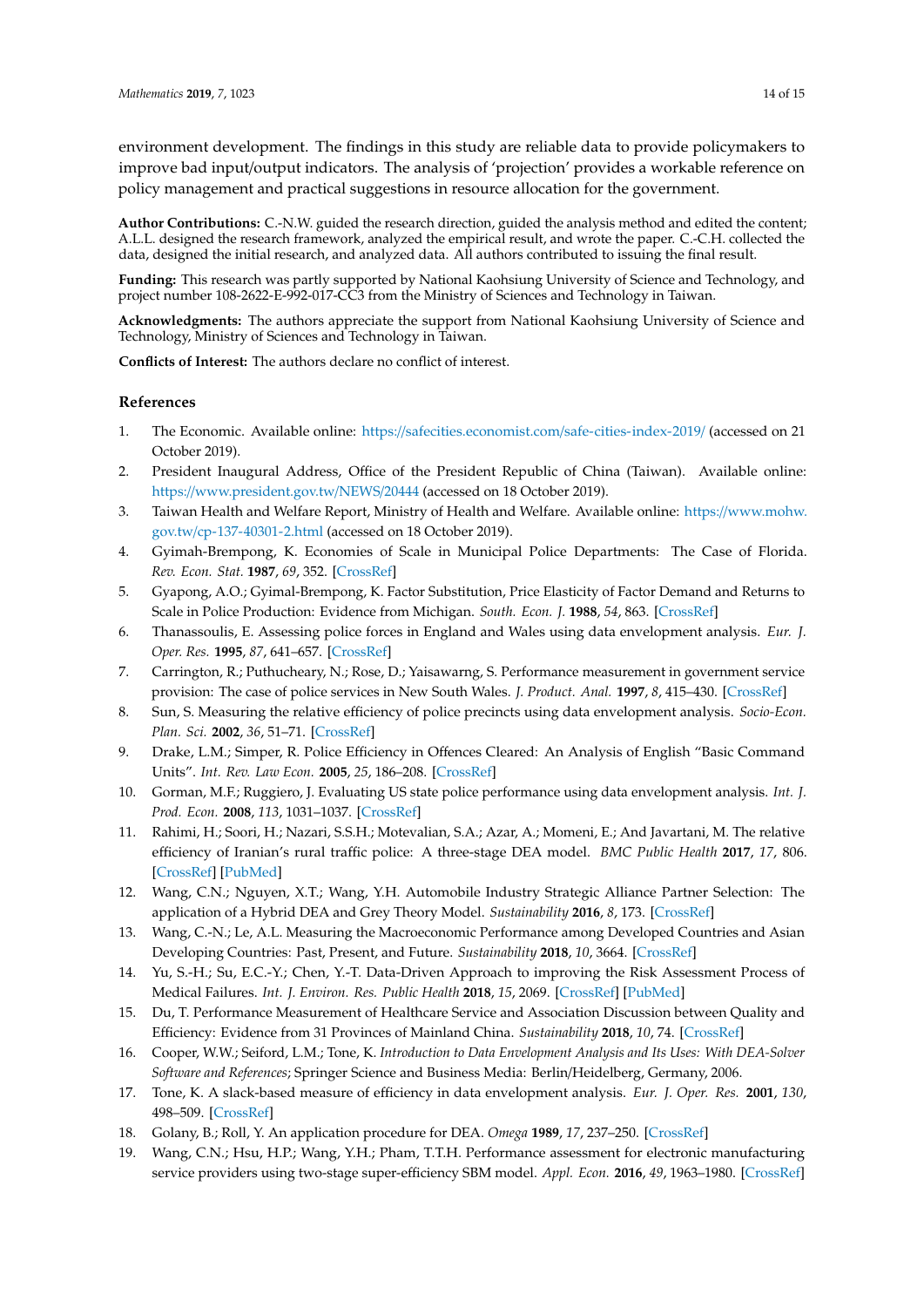environment development. The findings in this study are reliable data to provide policymakers to improve bad input/output indicators. The analysis of 'projection' provides a workable reference on policy management and practical suggestions in resource allocation for the government.

**Author Contributions:** C.-N.W. guided the research direction, guided the analysis method and edited the content; A.L.L. designed the research framework, analyzed the empirical result, and wrote the paper. C.-C.H. collected the data, designed the initial research, and analyzed data. All authors contributed to issuing the final result.

**Funding:** This research was partly supported by National Kaohsiung University of Science and Technology, and project number 108-2622-E-992-017-CC3 from the Ministry of Sciences and Technology in Taiwan.

**Acknowledgments:** The authors appreciate the support from National Kaohsiung University of Science and Technology, Ministry of Sciences and Technology in Taiwan.

**Conflicts of Interest:** The authors declare no conflict of interest.

## **References**

- <span id="page-13-0"></span>1. The Economic. Available online: https://[safecities.economist.com](https://safecities.economist.com/safe-cities-index-2019/)/safe-cities-index-2019/ (accessed on 21 October 2019).
- <span id="page-13-1"></span>2. President Inaugural Address, Office of the President Republic of China (Taiwan). Available online: https://[www.president.gov.tw](https://www.president.gov.tw/NEWS/20444)/NEWS/20444 (accessed on 18 October 2019).
- <span id="page-13-2"></span>3. Taiwan Health and Welfare Report, Ministry of Health and Welfare. Available online: https://[www.mohw.](https://www.mohw.gov.tw/cp-137-40301-2.html) gov.tw/[cp-137-40301-2.html](https://www.mohw.gov.tw/cp-137-40301-2.html) (accessed on 18 October 2019).
- <span id="page-13-3"></span>4. Gyimah-Brempong, K. Economies of Scale in Municipal Police Departments: The Case of Florida. *Rev. Econ. Stat.* **1987**, *69*, 352. [\[CrossRef\]](http://dx.doi.org/10.2307/1927244)
- <span id="page-13-4"></span>5. Gyapong, A.O.; Gyimal-Brempong, K. Factor Substitution, Price Elasticity of Factor Demand and Returns to Scale in Police Production: Evidence from Michigan. *South. Econ. J.* **1988**, *54*, 863. [\[CrossRef\]](http://dx.doi.org/10.2307/1059522)
- <span id="page-13-5"></span>6. Thanassoulis, E. Assessing police forces in England and Wales using data envelopment analysis. *Eur. J. Oper. Res.* **1995**, *87*, 641–657. [\[CrossRef\]](http://dx.doi.org/10.1016/0377-2217(95)00236-7)
- <span id="page-13-6"></span>7. Carrington, R.; Puthucheary, N.; Rose, D.; Yaisawarng, S. Performance measurement in government service provision: The case of police services in New South Wales. *J. Product. Anal.* **1997**, *8*, 415–430. [\[CrossRef\]](http://dx.doi.org/10.1023/A:1007788026595)
- <span id="page-13-7"></span>8. Sun, S. Measuring the relative efficiency of police precincts using data envelopment analysis. *Socio-Econ. Plan. Sci.* **2002**, *36*, 51–71. [\[CrossRef\]](http://dx.doi.org/10.1016/S0038-0121(01)00010-6)
- <span id="page-13-8"></span>9. Drake, L.M.; Simper, R. Police Efficiency in Offences Cleared: An Analysis of English "Basic Command Units". *Int. Rev. Law Econ.* **2005**, *25*, 186–208. [\[CrossRef\]](http://dx.doi.org/10.1016/j.irle.2005.06.003)
- <span id="page-13-9"></span>10. Gorman, M.F.; Ruggiero, J. Evaluating US state police performance using data envelopment analysis. *Int. J. Prod. Econ.* **2008**, *113*, 1031–1037. [\[CrossRef\]](http://dx.doi.org/10.1016/j.ijpe.2007.12.011)
- <span id="page-13-10"></span>11. Rahimi, H.; Soori, H.; Nazari, S.S.H.; Motevalian, S.A.; Azar, A.; Momeni, E.; And Javartani, M. The relative efficiency of Iranian's rural traffic police: A three-stage DEA model. *BMC Public Health* **2017**, *17*, 806. [\[CrossRef\]](http://dx.doi.org/10.1186/s12889-017-4780-z) [\[PubMed\]](http://www.ncbi.nlm.nih.gov/pubmed/29029612)
- <span id="page-13-11"></span>12. Wang, C.N.; Nguyen, X.T.; Wang, Y.H. Automobile Industry Strategic Alliance Partner Selection: The application of a Hybrid DEA and Grey Theory Model. *Sustainability* **2016**, *8*, 173. [\[CrossRef\]](http://dx.doi.org/10.3390/su8020173)
- <span id="page-13-12"></span>13. Wang, C.-N.; Le, A.L. Measuring the Macroeconomic Performance among Developed Countries and Asian Developing Countries: Past, Present, and Future. *Sustainability* **2018**, *10*, 3664. [\[CrossRef\]](http://dx.doi.org/10.3390/su10103664)
- <span id="page-13-13"></span>14. Yu, S.-H.; Su, E.C.-Y.; Chen, Y.-T. Data-Driven Approach to improving the Risk Assessment Process of Medical Failures. *Int. J. Environ. Res. Public Health* **2018**, *15*, 2069. [\[CrossRef\]](http://dx.doi.org/10.3390/ijerph15102069) [\[PubMed\]](http://www.ncbi.nlm.nih.gov/pubmed/30241385)
- <span id="page-13-14"></span>15. Du, T. Performance Measurement of Healthcare Service and Association Discussion between Quality and Efficiency: Evidence from 31 Provinces of Mainland China. *Sustainability* **2018**, *10*, 74. [\[CrossRef\]](http://dx.doi.org/10.3390/su10010074)
- <span id="page-13-15"></span>16. Cooper, W.W.; Seiford, L.M.; Tone, K. *Introduction to Data Envelopment Analysis and Its Uses: With DEA-Solver Software and References*; Springer Science and Business Media: Berlin/Heidelberg, Germany, 2006.
- <span id="page-13-16"></span>17. Tone, K. A slack-based measure of efficiency in data envelopment analysis. *Eur. J. Oper. Res.* **2001**, *130*, 498–509. [\[CrossRef\]](http://dx.doi.org/10.1016/S0377-2217(99)00407-5)
- <span id="page-13-17"></span>18. Golany, B.; Roll, Y. An application procedure for DEA. *Omega* **1989**, *17*, 237–250. [\[CrossRef\]](http://dx.doi.org/10.1016/0305-0483(89)90029-7)
- <span id="page-13-18"></span>19. Wang, C.N.; Hsu, H.P.; Wang, Y.H.; Pham, T.T.H. Performance assessment for electronic manufacturing service providers using two-stage super-efficiency SBM model. *Appl. Econ.* **2016**, *49*, 1963–1980. [\[CrossRef\]](http://dx.doi.org/10.1080/00036846.2016.1229446)